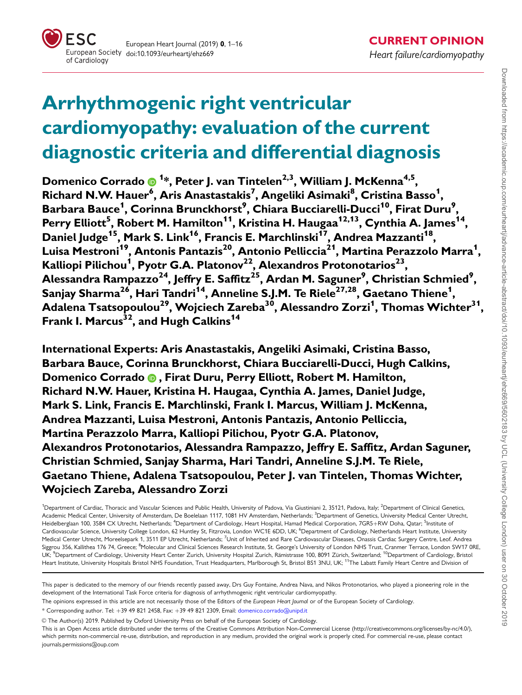

# Arrhythmogenic right ventricular cardiomyopathy: evaluation of the current diagnostic criteria and differential diagnosis

Domenico Corrado @ <sup>1</sup>\*, Peter J. van Tintelen<sup>2,3</sup>, William J. McKenna<sup>4,5</sup>,  $\mathsf{Richard}\ \mathsf{N}. \mathsf{W}.$  Hauer $^6$ , Aris Anastastakis $^7$ , Angeliki Asimaki $^8$ , Cristina Basso $^1,$ Barbara Bauce<sup>1</sup>, Corinna Brunckhorst<sup>9</sup>, Chiara Bucciarelli-Ducci<sup>10</sup>, Firat Duru<sup>9</sup>, Perry Elliott<sup>5</sup>, Robert M. Hamilton<sup>11</sup>, Kristina H. Haugaa<sup>12,13</sup>, Cynthia A. James<sup>14</sup>, Daniel Judge<sup>15</sup>, Mark S. Link<sup>16</sup>, Francis E. Marchlinski<sup>17</sup>, Andrea Mazzanti<sup>18</sup>, Luisa Mestroni<sup>19</sup>, Antonis Pantazis<sup>20</sup>, Antonio Pelliccia<sup>21</sup>, Martina Perazzolo Marra<sup>1</sup>, Kalliopi Pilichou<sup>1</sup>, Pyotr G.A. Platonov<sup>22</sup>, Alexandros Protonotarios<sup>23</sup>, Alessandra Rampazzo<sup>24</sup>, Jeffry E. Saffitz<sup>25</sup>, Ardan M. Saguner<sup>9</sup>, Christian Schmied<sup>9</sup>, Sanjay Sharma $^{26}$ , Hari Tandri $^{14}$ , Anneline S.J.M. Te Riele $^{27,28}$ , Gaetano Thiene $^{1}\!,$ Adalena Tsatsopoulou<sup>29</sup>, Wojciech Zareba<sup>30</sup>, Alessandro Zorzi<sup>1</sup>, Thomas Wichter<sup>31</sup>, Frank I. Marcus<sup>32</sup>, and Hugh Calkins<sup>14</sup>

International Experts: Aris Anastastakis, Angeliki Asimaki, Cristina Basso, Barbara Bauce, Corinna Brunckhorst, Chiara Bucciarelli-Ducci, Hugh Calkins, Domenico Corrado **D**, Firat Duru, Perry Elliott, Robert M. Hamilton, Richard N.W. Hauer, Kristina H. Haugaa, Cynthia A. James, Daniel Judge, Mark S. Link, Francis E. Marchlinski, Frank I. Marcus, William J. McKenna, Andrea Mazzanti, Luisa Mestroni, Antonis Pantazis, Antonio Pelliccia, Martina Perazzolo Marra, Kalliopi Pilichou, Pyotr G.A. Platonov, Alexandros Protonotarios, Alessandra Rampazzo, Jeffry E. Saffitz, Ardan Saguner, Christian Schmied, Sanjay Sharma, Hari Tandri, Anneline S.J.M. Te Riele, Gaetano Thiene, Adalena Tsatsopoulou, Peter J. van Tintelen, Thomas Wichter, Wojciech Zareba, Alessandro Zorzi

<sup>1</sup>Department of Cardiac, Thoracic and Vascular Sciences and Public Health, University of Padova, Via Giustiniani 2, 35121, Padova, Italy; <sup>2</sup>Department of Clinical Genetics, Academic Medical Center, University of Amsterdam, De Boelelaan 1117, 1081 HV Amsterdam, Netherlands; <sup>3</sup>Department of Genetics, University Medical Center Utrecht Heidelberglaan 100, 3584 CX Utrecht, Netherlands; <sup>4</sup>Department of Cardiology, Heart Hospital, Hamad Medical Corporation, 7GR5+RW Doha, Qatar; <sup>5</sup>Institute of Cardiovascular Science, University College London, 62 Huntley St, Fitzrovia, London WC1E 6DD, UK; <sup>6</sup>Department of Cardiology, Netherlands Heart Institute, University Medical Center Utrecht, Moreelsepark 1, 3511 EP Utrecht, Netherlands; <sup>7</sup>Unit of Inherited and Rare Cardiovascular Diseases, Onassis Cardiac Surgery Centre, Leof. Andrea Siggrou 356, Kallithea 176 74, Greece; <sup>8</sup>Molecular and Clinical Sciences Research Institute, St. George's University of London NHS Trust, Cranmer Terrace, London SW17 0RE UK; <sup>9</sup>Department of Cardiology, University Heart Center Zurich, University Hospital Zurich, Rämistrasse 100, 8091 Zürich, Switzerland; <sup>10</sup>Department of Cardiology, Bristol Heart Institute, University Hospitals Bristol NHS Foundation, Trust Headquarters, Marlborough St, Bristol BS1 3NU, UK; <sup>11</sup>The Labatt Family Heart Centre and Division of

This paper is dedicated to the memory of our friends recently passed away, Drs Guy Fontaine, Andrea Nava, and Nikos Protonotarios, who played a pioneering role in the development of the International Task Force criteria for diagnosis of arrhythmogenic right ventricular cardiomyopathy.

The opinions expressed in this article are not necessarily those of the Editors of the European Heart Journal or of the European Society of Cardiology.

<sup>\*</sup> Corresponding author. Tel: +39 49 821 2458, Fax: +39 49 821 2309, Email: domenico.corrado@unipd.it

V<sup>C</sup> The Author(s) 2019. Published by Oxford University Press on behalf of the European Society of Cardiology.

This is an Open Access article distributed under the terms of the Creative Commons Attribution Non-Commercial License (http://creativecommons.org/licenses/by-nc/4.0/), which permits non-commercial re-use, distribution, and reproduction in any medium, provided the original work is properly cited. For commercial re-use, please contact journals.permissions@oup.com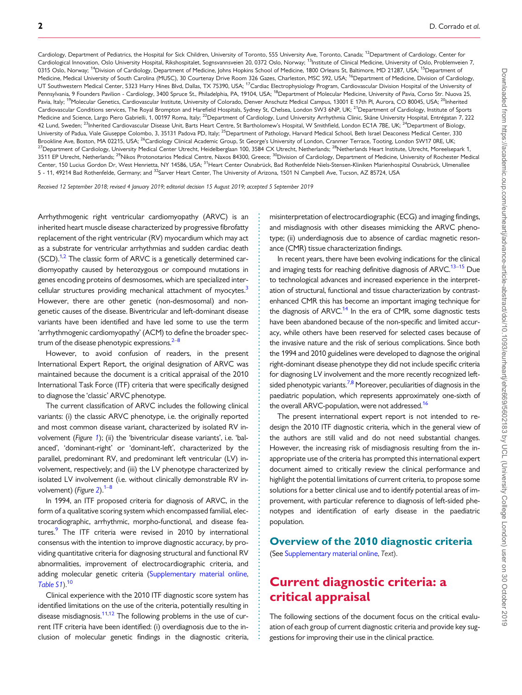<span id="page-1-0"></span>Cardiology, Department of Pediatrics, the Hospital for Sick Children, University of Toronto, 555 University Ave, Toronto, Canada; 12Department of Cardiology, Center for Cardiological Innovation, Oslo University Hospital, Rikshospitalet, Sognsvannsveien 20, 0372 Oslo, Norway; <sup>13</sup>Institute of Clinical Medicine, University of Oslo, Problemveien 7, 0315 Oslo, Norway; <sup>14</sup>Division of Cardiology, Department of Medicine, Johns Hopkins School of Medicine, 1800 Orleans St, Baltimore, MD 21287, USA; <sup>15</sup>Department of Medicine, Medical University of South Carolina (MUSC), 30 Courtenay Drive Room 326 Gazes, Charleston, MSC 592, USA; <sup>16</sup>Department of Medicine, Division of Cardiology, UT Southwestern Medical Center, 5323 Harry Hines Blvd, Dallas, TX 75390, USA; <sup>17</sup>Cardiac Electrophysiology Program, Cardiovascular Division Hospital of the University of Pennsylvania, 9 Founders Pavilion - Cardiology, 3400 Spruce St., Philadelphia, PA, 19104, USA; <sup>18</sup>Department of Molecular Medicine, University of Pavia, Corso Str. Nuova 25, Pavia, Italy; <sup>19</sup>Molecular Genetics, Cardiovascular Institute, University of Colorado, Denver Anschutz Medical Campus, 13001 E 17th Pl, Aurora, CO 80045, USA; <sup>20</sup>Inherited Cardiovascular Conditions services, The Royal Brompton and Harefield Hospitals, Sydney St, Chelsea, London SW3 6NP, UK; <sup>21</sup>Department of Cardiology, Institute of Sports Medicine and Science, Largo Piero Gabrielli, 1, 00197 Roma, Italy; <sup>22</sup>Department of Cardiology, Lund University Arrhythmia Clinic, Skåne University Hospital, Entrégatan 7, 222 42 Lund, Sweden; <sup>23</sup>Inherited Cardiovascular Disease Unit, Barts Heart Centre, St Bartholomew's Hospital, W Smithfield, London EC1A 7BE, UK; <sup>24</sup>Department of Biology, University of Padua, Viale Giuseppe Colombo, 3, 35131 Padova PD, Italy; <sup>25</sup>Department of Pathology, Harvard Medical School, Beth Israel Deaconess Medical Center, 330 Brookline Ave, Boston, MA 02215, USA; <sup>26</sup>Cardiology Clinical Academic Group, St George's University of London, Cranmer Terrace, Tooting, London SW17 0RE, UK; <sup>27</sup>Department of Cardiology, University Medical Center Utrecht, Heidelberglaan 100, 3584 CX Utrecht, Netherlands; <sup>28</sup>Netherlands Heart Institute, Utrecht, Moreelsepark 1, 3511 EP Utrecht, Netherlands; <sup>29</sup>Nikos Protonotarios Medical Centre, Naxos 84300, Greece; <sup>30</sup>Division of Cardiology, Department of Medicine, University of Rochester Medical Center, 150 Lucius Gordon Dr, West Henrietta, NY 14586, USA; <sup>31</sup>Heart Center Osnabrück, Bad Rothenfelde Niels-Stensen-Kliniken Marienhospital Osnabrück, Ulmenallee 5 - 11, 49214 Bad Rothenfelde, Germany; and <sup>32</sup>Sarver Heart Center, The University of Arizona, 1501 N Campbell Ave, Tucson, AZ 85724, USA

> . . . . . . . . . . . . . . . . . . . . . . . . . . . . . . . . . . . . . . . . . . . . . . . . . . . . . . . . . . . . . . . . . . . . . . . . . . . . . . . . . . . . . . . . . . . . . . . . . . . . . . . . . . . . . . . . . . . . . . . . . . . .

Received 12 September 2018; revised 4 January 2019; editorial decision 15 August 2019; accepted 5 September 2019

Arrhythmogenic right ventricular cardiomyopathy (ARVC) is an inherited heart muscle disease characterized by progressive fibrofatty replacement of the right ventricular (RV) myocardium which may act as a substrate for ventricular arrhythmias and sudden cardiac death  $(SCD)$ .<sup>[1,2](#page-13-0)</sup> The classic form of ARVC is a genetically determined cardiomyopathy caused by heterozygous or compound mutations in genes encoding proteins of desmosomes, which are specialized intercellular structures providing mechanical attachment of myocytes.<sup>3</sup> However, there are other genetic (non-desmosomal) and nongenetic causes of the disease. Biventricular and left-dominant disease variants have been identified and have led some to use the term 'arrhythmogenic cardiomyopathy' (ACM) to define the broader spectrum of the disease phenotypic expressions. $2-8$ 

However, to avoid confusion of readers, in the present International Expert Report, the original designation of ARVC was maintained because the document is a critical appraisal of the 2010 International Task Force (ITF) criteria that were specifically designed to diagnose the 'classic' ARVC phenotype.

The current classification of ARVC includes the following clinical variants: (i) the classic ARVC phenotype, i.e. the originally reported and most common disease variant, characterized by isolated RV involvement (Figure [1](#page-4-0)); (ii) the 'biventricular disease variants', i.e. 'balanced', 'dominant-right' or 'dominant-left', characterized by the parallel, predominant RV, and predominant left ventricular (LV) involvement, respectively; and (iii) the LV phenotype characterized by isolated LV involvement (i.e. without clinically demonstrable RV in-volvement) (Figure [2](#page-5-0)).<sup>1–[8](#page-13-0)</sup>

In 1994, an ITF proposed criteria for diagnosis of ARVC, in the form of a qualitative scoring system which encompassed familial, electrocardiographic, arrhythmic, morpho-functional, and disease features.<sup>9</sup> The ITF criteria were revised in 2010 by international consensus with the intention to improve diagnostic accuracy, by providing quantitative criteria for diagnosing structural and functional RV abnormalities, improvement of electrocardiographic criteria, and adding molecular genetic criteria ([Supplementary material online,](https://academic.oup.com/eurheartj/article-lookup/doi/10.1093/eurheartj/ehz669#supplementary-data) Table  $S1$ ).<sup>10</sup>

Clinical experience with the 2010 ITF diagnostic score system has identified limitations on the use of the criteria, potentially resulting in disease misdiagnosis.<sup>11,12</sup> The following problems in the use of current ITF criteria have been identified: (i) overdiagnosis due to the inclusion of molecular genetic findings in the diagnostic criteria, misinterpretation of electrocardiographic (ECG) and imaging findings, and misdiagnosis with other diseases mimicking the ARVC phenotype; (ii) underdiagnosis due to absence of cardiac magnetic resonance (CMR) tissue characterization findings.

In recent years, there have been evolving indications for the clinical and imaging tests for reaching definitive diagnosis of ARVC.<sup>13-[15](#page-13-0)</sup> Due to technological advances and increased experience in the interpretation of structural, functional and tissue characterization by contrastenhanced CMR this has become an important imaging technique for the diagnosis of  $ARVC.<sup>14</sup>$  $ARVC.<sup>14</sup>$  $ARVC.<sup>14</sup>$  In the era of CMR, some diagnostic tests have been abandoned because of the non-specific and limited accuracy, while others have been reserved for selected cases because of the invasive nature and the risk of serious complications. Since both the 1994 and 2010 guidelines were developed to diagnose the original right-dominant disease phenotype they did not include specific criteria for diagnosing LV involvement and the more recently recognized left-sided phenotypic variants.<sup>7,[8](#page-13-0)</sup> Moreover, peculiarities of diagnosis in the paediatric population, which represents approximately one-sixth of the overall ARVC-population, were not addressed.<sup>16</sup>

The present international expert report is not intended to redesign the 2010 ITF diagnostic criteria, which in the general view of the authors are still valid and do not need substantial changes. However, the increasing risk of misdiagnosis resulting from the inappropriate use of the criteria has prompted this international expert document aimed to critically review the clinical performance and highlight the potential limitations of current criteria, to propose some solutions for a better clinical use and to identify potential areas of improvement, with particular reference to diagnosis of left-sided phenotypes and identification of early disease in the paediatric population.

### Overview of the 2010 diagnostic criteria (See [Supplementary material online](https://academic.oup.com/eurheartj/article-lookup/doi/10.1093/eurheartj/ehz669#supplementary-data), Text).

# Current diagnostic criteria: a critical appraisal

The following sections of the document focus on the critical evaluation of each group of current diagnostic criteria and provide key suggestions for improving their use in the clinical practice.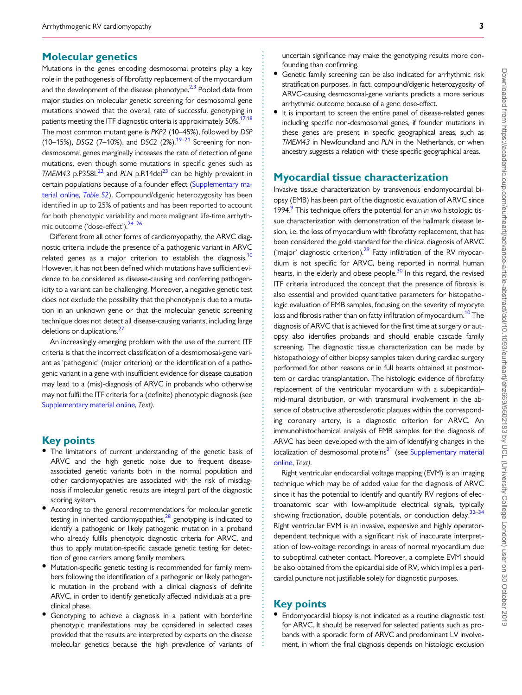### <span id="page-2-0"></span>. Molecular genetics

Mutations in the genes encoding desmosomal proteins play a key role in the pathogenesis of fibrofatty replacement of the myocardium and the development of the disease phenotype. $2,3$  $2,3$  Pooled data from major studies on molecular genetic screening for desmosomal gene mutations showed that the overall rate of successful genotyping in patients meeting the ITF diagnostic criteria is approximately 50%.<sup>[17,18](#page-13-0)</sup> The most common mutant gene is PKP2 (10–45%), followed by DSP (10–15%), DSG2 (7–10%), and DSC2 (2%).<sup>[19](#page-13-0)–[21](#page-13-0)</sup> Screening for nondesmosomal genes marginally increases the rate of detection of gene mutations, even though some mutations in specific genes such as  $TMEM43$  p.P358L<sup>[22](#page-13-0)</sup> and PLN p.R14del<sup>23</sup> can be highly prevalent in certain populations because of a founder effect [\(Supplementary ma](https://academic.oup.com/eurheartj/article-lookup/doi/10.1093/eurheartj/ehz669#supplementary-data)[terial online](https://academic.oup.com/eurheartj/article-lookup/doi/10.1093/eurheartj/ehz669#supplementary-data), [Table S2](https://academic.oup.com/eurheartj/article-lookup/doi/10.1093/eurheartj/ehz669#supplementary-data)). Compound/digenic heterozygosity has been identified in up to 25% of patients and has been reported to account for both phenotypic variability and more malignant life-time arrhyth-mic outcome ('dose-effect').<sup>[24](#page-13-0)-[26](#page-13-0)</sup>

Different from all other forms of cardiomyopathy, the ARVC diagnostic criteria include the presence of a pathogenic variant in ARVC related genes as a major criterion to establish the diagnosis.<sup>10</sup> However, it has not been defined which mutations have sufficient evidence to be considered as disease-causing and conferring pathogenicity to a variant can be challenging. Moreover, a negative genetic test does not exclude the possibility that the phenotype is due to a mutation in an unknown gene or that the molecular genetic screening technique does not detect all disease-causing variants, including large deletions or duplications.<sup>27</sup>

An increasingly emerging problem with the use of the current ITF criteria is that the incorrect classification of a desmomosal-gene variant as 'pathogenic' (major criterion) or the identification of a pathogenic variant in a gene with insufficient evidence for disease causation may lead to a (mis)-diagnosis of ARVC in probands who otherwise may not fulfil the ITF criteria for a (definite) phenotypic diagnosis (see [Supplementary material online](https://academic.oup.com/eurheartj/article-lookup/doi/10.1093/eurheartj/ehz669#supplementary-data), Text).

### Key points

- The limitations of current understanding of the genetic basis of ARVC and the high genetic noise due to frequent diseaseassociated genetic variants both in the normal population and other cardiomyopathies are associated with the risk of misdiagnosis if molecular genetic results are integral part of the diagnostic scoring system.
- According to the general recommendations for molecular genetic testing in inherited cardiomyopathies,<sup>28</sup> genotyping is indicated to identify a pathogenic or likely pathogenic mutation in a proband who already fulfils phenotypic diagnostic criteria for ARVC, and thus to apply mutation-specific cascade genetic testing for detection of gene carriers among family members.
- Mutation-specific genetic testing is recommended for family members following the identification of a pathogenic or likely pathogenic mutation in the proband with a clinical diagnosis of definite ARVC, in order to identify genetically affected individuals at a preclinical phase.
- Genotyping to achieve a diagnosis in a patient with borderline phenotypic manifestations may be considered in selected cases provided that the results are interpreted by experts on the disease molecular genetics because the high prevalence of variants of

uncertain significance may make the genotyping results more confounding than confirming.

- Genetic family screening can be also indicated for arrhythmic risk stratification purposes. In fact, compound/digenic heterozygosity of ARVC-causing desmosomal-gene variants predicts a more serious arrhythmic outcome because of a gene dose-effect.
- It is important to screen the entire panel of disease-related genes including specific non-desmosomal genes, if founder mutations in these genes are present in specific geographical areas, such as TMEM43 in Newfoundland and PLN in the Netherlands, or when ancestry suggests a relation with these specific geographical areas.

### Myocardial tissue characterization

Invasive tissue characterization by transvenous endomyocardial biopsy (EMB) has been part of the diagnostic evaluation of ARVC since 1994. $\degree$  This technique offers the potential for an in vivo histologic tissue characterization with demonstration of the hallmark disease lesion, i.e. the loss of myocardium with fibrofatty replacement, that has been considered the gold standard for the clinical diagnosis of ARVC ('major' diagnostic criterion).<sup>29</sup> Fatty infiltration of the RV myocardium is not specific for ARVC, being reported in normal human hearts, in the elderly and obese people. $30$  In this regard, the revised ITF criteria introduced the concept that the presence of fibrosis is also essential and provided quantitative parameters for histopathologic evaluation of EMB samples, focusing on the severity of myocyte loss and fibrosis rather than on fatty infiltration of myocardium.<sup>10</sup> The diagnosis of ARVC that is achieved for the first time at surgery or autopsy also identifies probands and should enable cascade family screening. The diagnostic tissue characterization can be made by histopathology of either biopsy samples taken during cardiac surgery performed for other reasons or in full hearts obtained at postmortem or cardiac transplantation. The histologic evidence of fibrofatty replacement of the ventricular myocardium with a subepicardial– mid-mural distribution, or with transmural involvement in the absence of obstructive atherosclerotic plaques within the corresponding coronary artery, is a diagnostic criterion for ARVC. An immunohistochemical analysis of EMB samples for the diagnosis of ARVC has been developed with the aim of identifying changes in the localization of desmosomal proteins<sup>31</sup> (see [Supplementary material](https://academic.oup.com/eurheartj/article-lookup/doi/10.1093/eurheartj/ehz669#supplementary-data) [online,](https://academic.oup.com/eurheartj/article-lookup/doi/10.1093/eurheartj/ehz669#supplementary-data) Text).

Right ventricular endocardial voltage mapping (EVM) is an imaging technique which may be of added value for the diagnosis of ARVC since it has the potential to identify and quantify RV regions of electroanatomic scar with low-amplitude electrical signals, typically showing fractionation, double potentials, or conduction delay.<sup>32-[34](#page-14-0)</sup> Right ventricular EVM is an invasive, expensive and highly operatordependent technique with a significant risk of inaccurate interpretation of low-voltage recordings in areas of normal myocardium due to suboptimal catheter contact. Moreover, a complete EVM should be also obtained from the epicardial side of RV, which implies a pericardial puncture not justifiable solely for diagnostic purposes.

### Key points

. . . . . . . . . . . . . . . . . . . . . . . . . . . . . . . . . . . . . . . . . . . . . . . . . . . . . . . . . . . . . . . . . . . . . . . . . . . . . . . . . . . . . . . . . . . . . . . . . . . . . . . . . . . . . . . . . . . . . . . . . . . . . . . . . . . . . . . . . . . . . . . . . . . . . . . . . . . . . . . . . . . . . . . . . . . .

• Endomyocardial biopsy is not indicated as a routine diagnostic test for ARVC. It should be reserved for selected patients such as probands with a sporadic form of ARVC and predominant LV involvement, in whom the final diagnosis depends on histologic exclusion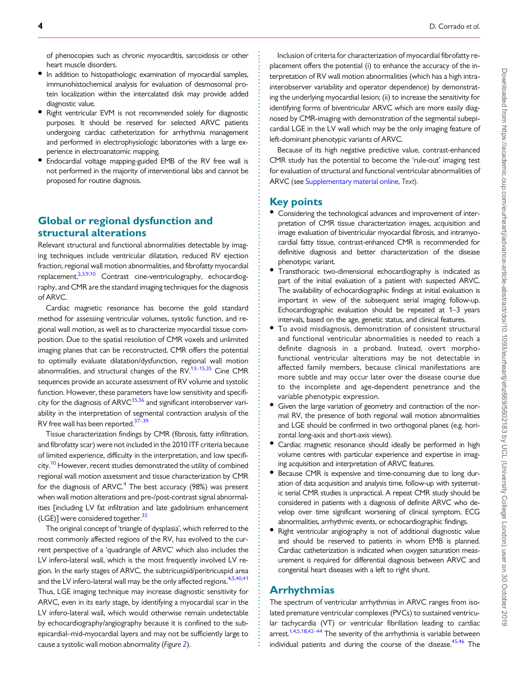<span id="page-3-0"></span>. of phenocopies such as chronic myocarditis, sarcoidosis or other heart muscle disorders.

- In addition to histopathologic examination of myocardial samples, immunohistochemical analysis for evaluation of desmosomal protein localization within the intercalated disk may provide added diagnostic value.
- Right ventricular EVM is not recommended solely for diagnostic purposes. It should be reserved for selected ARVC patients undergoing cardiac catheterization for arrhythmia management and performed in electrophysiologic laboratories with a large experience in electroanatomic mapping.
- Endocardial voltage mapping-guided EMB of the RV free wall is not performed in the majority of interventional labs and cannot be proposed for routine diagnosis.

## Global or regional dysfunction and structural alterations

Relevant structural and functional abnormalities detectable by imaging techniques include ventricular dilatation, reduced RV ejection fraction, regional wall motion abnormalities, and fibrofatty myocardial replacement.<sup>2,3,9,10</sup> Contrast cine-ventriculography, echocardiography, and CMR are the standard imaging techniques for the diagnosis of ARVC.

Cardiac magnetic resonance has become the gold standard method for assessing ventricular volumes, systolic function, and regional wall motion, as well as to characterize myocardial tissue composition. Due to the spatial resolution of CMR voxels and unlimited imaging planes that can be reconstructed, CMR offers the potential to optimally evaluate dilatation/dysfunction, regional wall motion abnormalities, and structural changes of the  $RV.<sup>13–15,35</sup>$  $RV.<sup>13–15,35</sup>$  $RV.<sup>13–15,35</sup>$  Cine CMR sequences provide an accurate assessment of RV volume and systolic function. However, these parameters have low sensitivity and specificity for the diagnosis of  $ARVC^{35,36}$  and significant interobserver variability in the interpretation of segmental contraction analysis of the RV free wall has been reported.<sup>37-39</sup>

Tissue characterization findings by CMR (fibrosis, fatty infiltration, and fibrofatty scar) were not included in the 2010 ITF criteria because of limited experience, difficulty in the interpretation, and low specificity.<sup>10</sup> However, recent studies demonstrated the utility of combined regional wall motion assessment and tissue characterization by CMR for the diagnosis of  $ARVC<sup>4</sup>$  $ARVC<sup>4</sup>$  $ARVC<sup>4</sup>$ . The best accuracy (98%) was present when wall motion alterations and pre-/post-contrast signal abnormalities [including LV fat infiltration and late gadolinium enhancement (LGE)] were considered together.<sup>[35](#page-14-0)</sup>

The original concept of 'triangle of dysplasia', which referred to the most commonly affected regions of the RV, has evolved to the current perspective of a 'quadrangle of ARVC' which also includes the LV infero-lateral wall, which is the most frequently involved LV region. In the early stages of ARVC, the subtricuspid/peritricuspid area and the LV infero-lateral wall may be the only affected regions.<sup>4,[5](#page-13-0)[,40,41](#page-14-0)</sup> Thus, LGE imaging technique may increase diagnostic sensitivity for ARVC, even in its early stage, by identifying a myocardial scar in the LV infero-lateral wall, which would otherwise remain undetectable by echocardiography/angiography because it is confined to the subepicardial–mid-myocardial layers and may not be sufficiently large to cause a systolic wall motion abnormality (Figure [2](#page-5-0)).

Inclusion of criteria for characterization of myocardial fibrofatty replacement offers the potential (i) to enhance the accuracy of the interpretation of RV wall motion abnormalities (which has a high intrainterobserver variability and operator dependence) by demonstrating the underlying myocardial lesion; (ii) to increase the sensitivity for identifying forms of biventricular ARVC which are more easily diagnosed by CMR-imaging with demonstration of the segmental subepicardial LGE in the LV wall which may be the only imaging feature of left-dominant phenotypic variants of ARVC.

Because of its high negative predictive value, contrast-enhanced CMR study has the potential to become the 'rule-out' imaging test for evaluation of structural and functional ventricular abnormalities of ARVC (see [Supplementary material online,](https://academic.oup.com/eurheartj/article-lookup/doi/10.1093/eurheartj/ehz669#supplementary-data) Text).

### Key points

- Considering the technological advances and improvement of interpretation of CMR tissue characterization images, acquisition and image evaluation of biventricular myocardial fibrosis, and intramyocardial fatty tissue, contrast-enhanced CMR is recommended for definitive diagnosis and better characterization of the disease phenotypic variant.
- Transthoracic two-dimensional echocardiography is indicated as part of the initial evaluation of a patient with suspected ARVC. The availability of echocardiographic findings at initial evaluation is important in view of the subsequent serial imaging follow-up. Echocardiographic evaluation should be repeated at 1–3 years intervals, based on the age, genetic status, and clinical features.
- To avoid misdiagnosis, demonstration of consistent structural and functional ventricular abnormalities is needed to reach a definite diagnosis in a proband. Instead, overt morphofunctional ventricular alterations may be not detectable in affected family members, because clinical manifestations are more subtle and may occur later over the disease course due to the incomplete and age-dependent penetrance and the variable phenotypic expression.
- Given the large variation of geometry and contraction of the normal RV, the presence of both regional wall motion abnormalities and LGE should be confirmed in two orthogonal planes (e.g. horizontal long-axis and short-axis views).
- Cardiac magnetic resonance should ideally be performed in high volume centres with particular experience and expertise in imaging acquisition and interpretation of ARVC features.
- Because CMR is expensive and time-consuming due to long duration of data acquisition and analysis time, follow-up with systematic serial CMR studies is unpractical. A repeat CMR study should be considered in patients with a diagnosis of definite ARVC who develop over time significant worsening of clinical symptom, ECG abnormalities, arrhythmic events, or echocardiographic findings.
- Right ventricular angiography is not of additional diagnostic value and should be reserved to patients in whom EMB is planned. Cardiac catheterization is indicated when oxygen saturation measurement is required for differential diagnosis between ARVC and congenital heart diseases with a left to right shunt.

### Arrhythmias

. . . . . . . . . . . . . . . . . . . . . . . . . . . . . . . . . . . . . . . . . . . . . . . . . . . . . . . . . . . . . . . . . . . . . . . . . . . . . . . . . . . . . . . . . . . . . . . . . . . . . . . . . . . . . . . . . . . . . . . . . . . . . . . . . . . . . . . . . . . . . . . . . . . . . . . . . . . . . . . . . . . . . . . . . . . .

The spectrum of ventricular arrhythmias in ARVC ranges from isolated premature ventricular complexes (PVCs) to sustained ventricular tachycardia (VT) or ventricular fibrillation leading to cardiac arrest.<sup>1,4,5,[18](#page-13-0)[,42–44](#page-14-0)</sup> The severity of the arrhythmia is variable between individual patients and during the course of the disease. $45,46$  The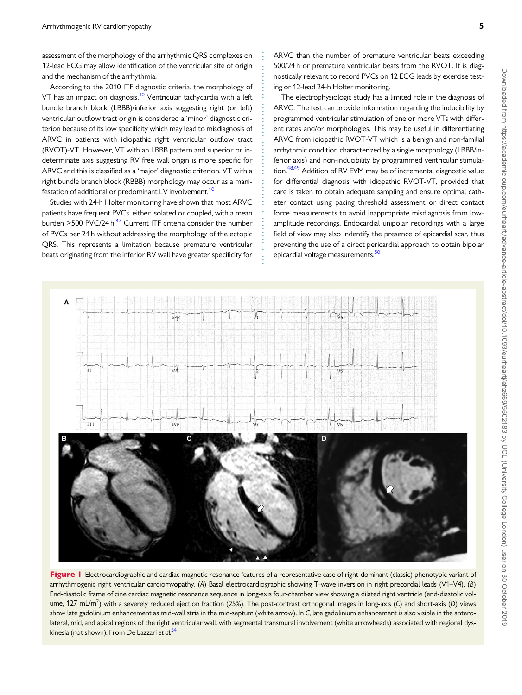<span id="page-4-0"></span>. assessment of the morphology of the arrhythmic QRS complexes on 12-lead ECG may allow identification of the ventricular site of origin and the mechanism of the arrhythmia.

According to the 2010 ITF diagnostic criteria, the morphology of VT has an impact on diagnosis.<sup>10</sup> Ventricular tachycardia with a left bundle branch block (LBBB)/inferior axis suggesting right (or left) ventricular outflow tract origin is considered a 'minor' diagnostic criterion because of its low specificity which may lead to misdiagnosis of ARVC in patients with idiopathic right ventricular outflow tract (RVOT)-VT. However, VT with an LBBB pattern and superior or indeterminate axis suggesting RV free wall origin is more specific for ARVC and this is classified as a 'major' diagnostic criterion. VT with a right bundle branch block (RBBB) morphology may occur as a manifestation of additional or predominant LV involvement.<sup>10</sup>

Studies with 24-h Holter monitoring have shown that most ARVC patients have frequent PVCs, either isolated or coupled, with a mean burden  $>$  500 PVC/24 h.<sup>47</sup> Current ITF criteria consider the number of PVCs per 24 h without addressing the morphology of the ectopic QRS. This represents a limitation because premature ventricular beats originating from the inferior RV wall have greater specificity for

ARVC than the number of premature ventricular beats exceeding 500/24 h or premature ventricular beats from the RVOT. It is diagnostically relevant to record PVCs on 12 ECG leads by exercise testing or 12-lead 24-h Holter monitoring.

The electrophysiologic study has a limited role in the diagnosis of ARVC. The test can provide information regarding the inducibility by programmed ventricular stimulation of one or more VTs with different rates and/or morphologies. This may be useful in differentiating ARVC from idiopathic RVOT-VT which is a benign and non-familial arrhythmic condition characterized by a single morphology (LBBB/inferior axis) and non-inducibility by programmed ventricular stimulation.[48](#page-14-0),[49](#page-14-0) Addition of RV EVM may be of incremental diagnostic value for differential diagnosis with idiopathic RVOT-VT, provided that care is taken to obtain adequate sampling and ensure optimal catheter contact using pacing threshold assessment or direct contact force measurements to avoid inappropriate misdiagnosis from lowamplitude recordings. Endocardial unipolar recordings with a large field of view may also indentify the presence of epicardial scar, thus preventing the use of a direct pericardial approach to obtain bipolar epicardial voltage measurements.<sup>50</sup>



. . . . . . . . . . . . . . . . . . . . . . . . . . . . . . . . . . . . . . . . . . . . . . . . . . . . . . . . . . . . .

Figure I Electrocardiographic and cardiac magnetic resonance features of a representative case of right-dominant (classic) phenotypic variant of arrhythmogenic right ventricular cardiomyopathy. (A) Basal electrocardiographic showing T-wave inversion in right precordial leads (V1–V4). (B) End-diastolic frame of cine cardiac magnetic resonance sequence in long-axis four-chamber view showing a dilated right ventricle (end-diastolic volume, 127 mL/m<sup>2</sup>) with a severely reduced ejection fraction (25%). The post-contrast orthogonal images in long-axis (C) and short-axis (D) views show late gadolinium enhancement as mid-wall stria in the mid-septum (white arrow). In C, late gadolinium enhancement is also visible in the anterolateral, mid, and apical regions of the right ventricular wall, with segmental transmural involvement (white arrowheads) associated with regional dys-kinesia (not shown). From De Lazzari et al.<sup>[54](#page-14-0)</sup>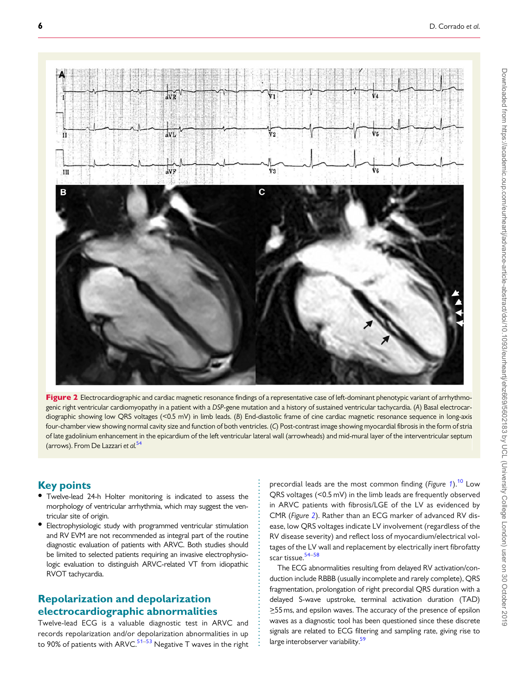<span id="page-5-0"></span>

Figure 2 Electrocardiographic and cardiac magnetic resonance findings of a representative case of left-dominant phenotypic variant of arrhythmogenic right ventricular cardiomyopathy in a patient with a DSP-gene mutation and a history of sustained ventricular tachycardia. (A) Basal electrocardiographic showing low QRS voltages (<0.5 mV) in limb leads. (B) End-diastolic frame of cine cardiac magnetic resonance sequence in long-axis four-chamber view showing normal cavity size and function of both ventricles. (C) Post-contrast image showing myocardial fibrosis in the form of stria of late gadolinium enhancement in the epicardium of the left ventricular lateral wall (arrowheads) and mid-mural layer of the interventricular septum (arrows). From De Lazzari et al.<sup>[54](#page-14-0)</sup>

. . . . . . . . . . . . . . . . . . . . . . . . . . . . . . . . . . . . . . . . . . . . . . . .

### **Key points**

- Twelve-lead 24-h Holter monitoring is indicated to assess the morphology of ventricular arrhythmia, which may suggest the ventricular site of origin.
- Electrophysiologic study with programmed ventricular stimulation and RV EVM are not recommended as integral part of the routine diagnostic evaluation of patients with ARVC. Both studies should be limited to selected patients requiring an invasive electrophysiologic evaluation to distinguish ARVC-related VT from idiopathic RVOT tachycardia.

### Repolarization and depolarization electrocardiographic abnormalities

Twelve-lead ECG is a valuable diagnostic test in ARVC and records repolarization and/or depolarization abnormalities in up to 90% of patients with ARVC.<sup>[51](#page-14-0)–[53](#page-14-0)</sup> Negative T waves in the right precordial leads are the most common finding (Figure [1](#page-4-0)).<sup>[10](#page-13-0)</sup> Low QRS voltages (<0.5 mV) in the limb leads are frequently observed in ARVC patients with fibrosis/LGE of the LV as evidenced by CMR (Figure 2). Rather than an ECG marker of advanced RV disease, low QRS voltages indicate LV involvement (regardless of the RV disease severity) and reflect loss of myocardium/electrical voltages of the LV wall and replacement by electrically inert fibrofatty scar tissue.<sup>[54](#page-14-0)–[58](#page-14-0)</sup>

The ECG abnormalities resulting from delayed RV activation/conduction include RBBB (usually incomplete and rarely complete), QRS fragmentation, prolongation of right precordial QRS duration with a delayed S-wave upstroke, terminal activation duration (TAD) >\_55 ms, and epsilon waves. The accuracy of the presence of epsilon waves as a diagnostic tool has been questioned since these discrete signals are related to ECG filtering and sampling rate, giving rise to large interobserver variability.<sup>[59](#page-14-0)</sup>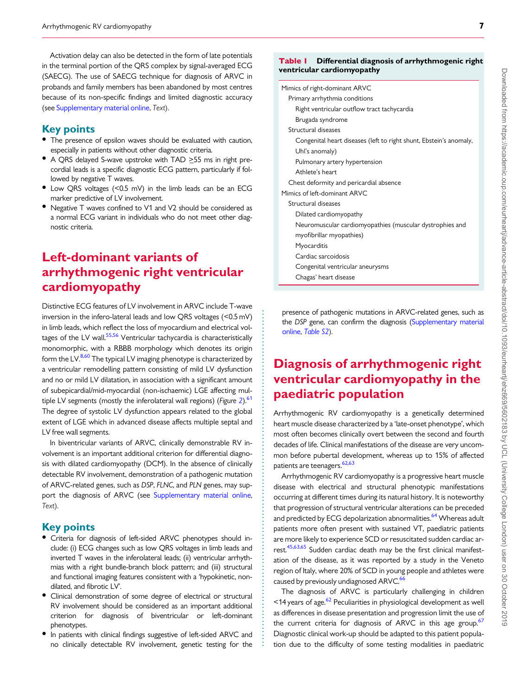<span id="page-6-0"></span>Activation delay can also be detected in the form of late potentials in the terminal portion of the QRS complex by signal-averaged ECG (SAECG). The use of SAECG technique for diagnosis of ARVC in probands and family members has been abandoned by most centres because of its non-specific findings and limited diagnostic accuracy (see [Supplementary material online,](https://academic.oup.com/eurheartj/article-lookup/doi/10.1093/eurheartj/ehz669#supplementary-data) Text).

### Key points

- The presence of epsilon waves should be evaluated with caution, especially in patients without other diagnostic criteria.
- A QRS delayed S-wave upstroke with TAD > 55 ms in right precordial leads is a specific diagnostic ECG pattern, particularly if followed by negative T waves.
- Low QRS voltages  $($ <0.5 mV) in the limb leads can be an ECG marker predictive of LV involvement.
- Negative T waves confined to V1 and V2 should be considered as a normal ECG variant in individuals who do not meet other diagnostic criteria.

# Left-dominant variants of arrhythmogenic right ventricular cardiomyopathy

Distinctive ECG features of LV involvement in ARVC include T-wave inversion in the infero-lateral leads and low QRS voltages  $(< 0.5 \text{ mV})$ in limb leads, which reflect the loss of myocardium and electrical vol-tages of the LV wall.<sup>[55](#page-14-0),[56](#page-14-0)</sup> Ventricular tachycardia is characteristically monomorphic, with a RBBB morphology which denotes its origin form the LV. $8,60$  $8,60$  The typical LV imaging phenotype is characterized by a ventricular remodelling pattern consisting of mild LV dysfunction and no or mild LV dilatation, in association with a significant amount of subepicardial/mid-myocardial (non-ischaemic) LGE affecting multiple LV segments (mostly the inferolateral wall regions) (Figure  $2$ ).<sup>61</sup> The degree of systolic LV dysfunction appears related to the global extent of LGE which in advanced disease affects multiple septal and LV free wall segments.

In biventricular variants of ARVC, clinically demonstrable RV involvement is an important additional criterion for differential diagnosis with dilated cardiomyopathy (DCM). In the absence of clinically detectable RV involvement, demonstration of a pathogenic mutation of ARVC-related genes, such as DSP, FLNC, and PLN genes, may support the diagnosis of ARVC (see [Supplementary material online](https://academic.oup.com/eurheartj/article-lookup/doi/10.1093/eurheartj/ehz669#supplementary-data), Text).

### Key points

- Criteria for diagnosis of left-sided ARVC phenotypes should include: (i) ECG changes such as low QRS voltages in limb leads and inverted T waves in the inferolateral leads; (ii) ventricular arrhythmias with a right bundle-branch block pattern; and (iii) structural and functional imaging features consistent with a 'hypokinetic, nondilated, and fibrotic LV'.
- Clinical demonstration of some degree of electrical or structural RV involvement should be considered as an important additional criterion for diagnosis of biventricular or left-dominant phenotypes.
- In patients with clinical findings suggestive of left-sided ARVC and no clinically detectable RV involvement, genetic testing for the

. . . . . . . . . . . . . . . . . . . . . . . . . . . . . . . . . . . . . . . . . . . . . . . . . . . . . . . . . . . . . . . . . . . . . . . . . . . . . . . . . . . . . . . . . . . . . . . . . .

#### Table 1 Differential diagnosis of arrhythmogenic right ventricular cardiomyopathy

Mimics of right-dominant ARVC Primary arrhythmia conditions Right ventricular outflow tract tachycardia

Brugada syndrome Structural diseases Congenital heart diseases (left to right shunt, Ebstein's anomaly, Uhl's anomaly) Pulmonary artery hypertension Athlete's heart Chest deformity and pericardial absence Mimics of left-dominant ARVC Structural diseases Dilated cardiomyopathy Neuromuscular cardiomyopathies (muscular dystrophies and myofibrillar myopathies) Myocarditis Cardiac sarcoidosis Congenital ventricular aneurysms

Chagas' heart disease

presence of pathogenic mutations in ARVC-related genes, such as the DSP gene, can confirm the diagnosis [\(Supplementary material](https://academic.oup.com/eurheartj/article-lookup/doi/10.1093/eurheartj/ehz669#supplementary-data) [online,](https://academic.oup.com/eurheartj/article-lookup/doi/10.1093/eurheartj/ehz669#supplementary-data) [Table S2](https://academic.oup.com/eurheartj/article-lookup/doi/10.1093/eurheartj/ehz669#supplementary-data)).

# Diagnosis of arrhythmogenic right ventricular cardiomyopathy in the paediatric population

Arrhythmogenic RV cardiomyopathy is a genetically determined heart muscle disease characterized by a 'late-onset phenotype', which most often becomes clinically overt between the second and fourth decades of life. Clinical manifestations of the disease are very uncommon before pubertal development, whereas up to 15% of affected patients are teenagers.<sup>62,63</sup>

Arrhythmogenic RV cardiomyopathy is a progressive heart muscle disease with electrical and structural phenotypic manifestations occurring at different times during its natural history. It is noteworthy that progression of structural ventricular alterations can be preceded and predicted by ECG depolarization abnormalities.<sup>64</sup> Whereas adult patients more often present with sustained VT, paediatric patients are more likely to experience SCD or resuscitated sudden cardiac arrest.<sup>45,63,65</sup> Sudden cardiac death may be the first clinical manifestation of the disease, as it was reported by a study in the Veneto region of Italy, where 20% of SCD in young people and athletes were caused by previously undiagnosed ARVC.<sup>66</sup>

The diagnosis of ARVC is particularly challenging in children <14 years of age.<sup>[62](#page-14-0)</sup> Peculiarities in physiological development as well as differences in disease presentation and progression limit the use of the current criteria for diagnosis of ARVC in this age group. $67$ Diagnostic clinical work-up should be adapted to this patient population due to the difficulty of some testing modalities in paediatric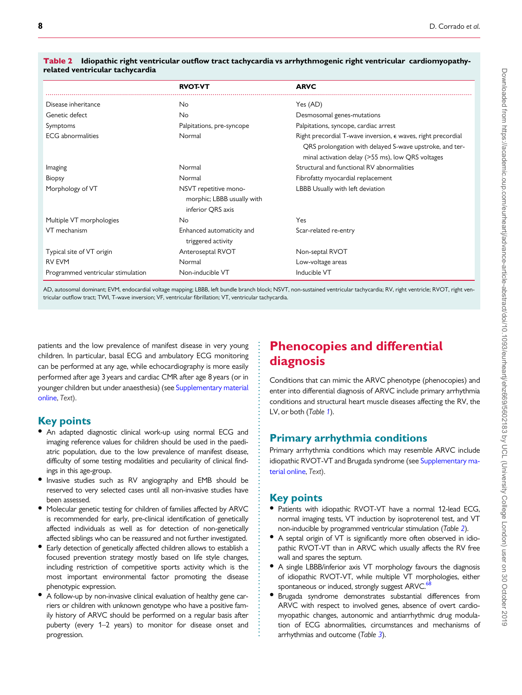|                                    | <b>RVOT-VT</b>                                                           | <b>ARVC</b>                                                                                                                                                                           |
|------------------------------------|--------------------------------------------------------------------------|---------------------------------------------------------------------------------------------------------------------------------------------------------------------------------------|
| Disease inheritance                | No                                                                       | Yes (AD)                                                                                                                                                                              |
| Genetic defect                     | No                                                                       | Desmosomal genes-mutations                                                                                                                                                            |
| Symptoms                           | Palpitations, pre-syncope                                                | Palpitations, syncope, cardiac arrest                                                                                                                                                 |
| <b>ECG</b> abnormalities           | Normal                                                                   | Right precordial T-wave inversion, $\epsilon$ waves, right precordial<br>QRS prolongation with delayed S-wave upstroke, and ter-<br>minal activation delay (>55 ms), low QRS voltages |
| Imaging                            | Normal                                                                   | Structural and functional RV abnormalities                                                                                                                                            |
| Biopsy                             | Normal                                                                   | Fibrofatty myocardial replacement                                                                                                                                                     |
| Morphology of VT                   | NSVT repetitive mono-<br>morphic; LBBB usually with<br>inferior QRS axis | LBBB Usually with left deviation                                                                                                                                                      |
| Multiple VT morphologies           | No                                                                       | Yes                                                                                                                                                                                   |
| VT mechanism                       | Enhanced automaticity and<br>triggered activity                          | Scar-related re-entry                                                                                                                                                                 |
| Typical site of VT origin          | Anteroseptal RVOT                                                        | Non-septal RVOT                                                                                                                                                                       |
| <b>RV EVM</b>                      | Normal                                                                   | Low-voltage areas                                                                                                                                                                     |
| Programmed ventricular stimulation | Non-inducible VT                                                         | Inducible VT                                                                                                                                                                          |

<span id="page-7-0"></span>Table 2 Idiopathic right ventricular outflow tract tachycardia vs arrhythmogenic right ventricular cardiomyopathyrelated ventricular tachycardia

AD, autosomal dominant; EVM, endocardial voltage mapping; LBBB, left bundle branch block; NSVT, non-sustained ventricular tachycardia; RV, right ventricle; RVOT, right ventricular outflow tract; TWI, T-wave inversion; VF, ventricular fibrillation; VT, ventricular tachycardia.

patients and the low prevalence of manifest disease in very young children. In particular, basal ECG and ambulatory ECG monitoring can be performed at any age, while echocardiography is more easily performed after age 3 years and cardiac CMR after age 8 years (or in younger children but under anaesthesia) (see [Supplementary material](https://academic.oup.com/eurheartj/article-lookup/doi/10.1093/eurheartj/ehz669#supplementary-data) [online,](https://academic.oup.com/eurheartj/article-lookup/doi/10.1093/eurheartj/ehz669#supplementary-data) Text).

### Key points

- An adapted diagnostic clinical work-up using normal ECG and imaging reference values for children should be used in the paediatric population, due to the low prevalence of manifest disease, difficulty of some testing modalities and peculiarity of clinical findings in this age-group.
- Invasive studies such as RV angiography and EMB should be reserved to very selected cases until all non-invasive studies have been assessed.
- Molecular genetic testing for children of families affected by ARVC is recommended for early, pre-clinical identification of genetically affected individuals as well as for detection of non-genetically affected siblings who can be reassured and not further investigated.
- Early detection of genetically affected children allows to establish a focused prevention strategy mostly based on life style changes, including restriction of competitive sports activity which is the most important environmental factor promoting the disease phenotypic expression.
- A follow-up by non-invasive clinical evaluation of healthy gene carriers or children with unknown genotype who have a positive family history of ARVC should be performed on a regular basis after puberty (every 1–2 years) to monitor for disease onset and progression.

# Phenocopies and differential diagnosis

Conditions that can mimic the ARVC phenotype (phenocopies) and enter into differential diagnosis of ARVC include primary arrhythmia conditions and structural heart muscle diseases affecting the RV, the LV, or both (Table [1](#page-6-0)).

# Primary arrhythmia conditions

Primary arrhythmia conditions which may resemble ARVC include idiopathic RVOT-VT and Brugada syndrome (see [Supplementary ma](https://academic.oup.com/eurheartj/article-lookup/doi/10.1093/eurheartj/ehz669#supplementary-data)[terial online,](https://academic.oup.com/eurheartj/article-lookup/doi/10.1093/eurheartj/ehz669#supplementary-data) Text).

# Key points

. . . . . . . . . . . . . . . . . . . . . . . . . . . . . . . . . . . . . . . . . . . . . . . . . . . . . . . . . . . . . . . . . . . . . . . . . . . . . . . . . . . . .

- Patients with idiopathic RVOT-VT have a normal 12-lead ECG, normal imaging tests, VT induction by isoproterenol test, and VT non-inducible by programmed ventricular stimulation (Table 2).
- A septal origin of VT is significantly more often observed in idiopathic RVOT-VT than in ARVC which usually affects the RV free wall and spares the septum.
- A single LBBB/inferior axis VT morphology favours the diagnosis of idiopathic RVOT-VT, while multiple VT morphologies, either spontaneous or induced, strongly suggest ARVC.<sup>6</sup>
- Brugada syndrome demonstrates substantial differences from ARVC with respect to involved genes, absence of overt cardiomyopathic changes, autonomic and antiarrhythmic drug modulation of ECG abnormalities, circumstances and mechanisms of arrhythmias and outcome (Table [3](#page-8-0)).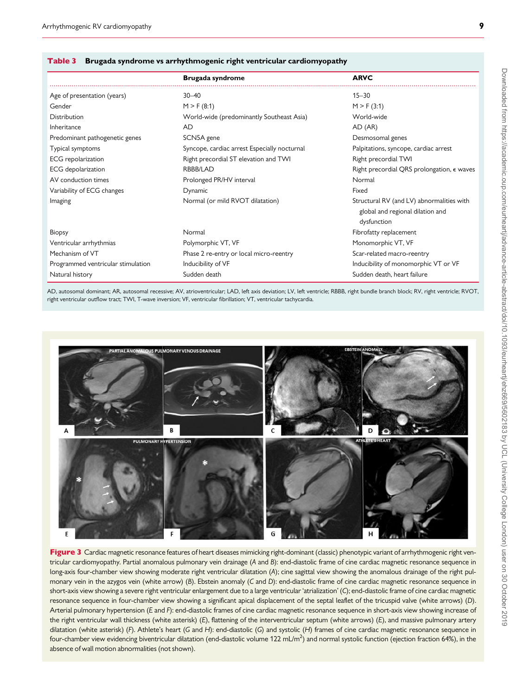|                                    | <b>Brugada syndrome</b>                      | <b>ARVC</b>                                                                                  |
|------------------------------------|----------------------------------------------|----------------------------------------------------------------------------------------------|
| Age of presentation (years)        | $30 - 40$                                    | $15 - 30$                                                                                    |
| Gender                             | M > F(8:1)                                   | M > F(3:1)                                                                                   |
| Distribution                       | World-wide (predominantly Southeast Asia)    | World-wide                                                                                   |
| Inheritance                        | AD                                           | AD (AR)                                                                                      |
| Predominant pathogenetic genes     | SCN5A gene                                   | Desmosomal genes                                                                             |
| Typical symptoms                   | Syncope, cardiac arrest Especially nocturnal | Palpitations, syncope, cardiac arrest                                                        |
| <b>ECG</b> repolarization          | Right precordial ST elevation and TWI        | Right precordial TWI                                                                         |
| ECG depolarization                 | RBBB/LAD                                     | Right precordial QRS prolongation, $\epsilon$ waves                                          |
| AV conduction times                | Prolonged PR/HV interval                     | Normal                                                                                       |
| Variability of ECG changes         | Dynamic                                      | Fixed                                                                                        |
| Imaging                            | Normal (or mild RVOT dilatation)             | Structural RV (and LV) abnormalities with<br>global and regional dilation and<br>dysfunction |
| Biopsy                             | Normal                                       | Fibrofatty replacement                                                                       |
| Ventricular arrhythmias            | Polymorphic VT, VF                           | Monomorphic VT, VF                                                                           |
| Mechanism of VT                    | Phase 2 re-entry or local micro-reentry      | Scar-related macro-reentry                                                                   |
| Programmed ventricular stimulation | Inducibility of VF                           | Inducibility of monomorphic VT or VF                                                         |
| Natural history                    | Sudden death                                 | Sudden death, heart failure                                                                  |

#### <span id="page-8-0"></span>Table 3 Brugada syndrome vs arrhythmogenic right ventricular cardiomyopathy

AD, autosomal dominant; AR, autosomal recessive; AV, atrioventricular; LAD, left axis deviation; LV, left ventricle; RBBB, right bundle branch block; RV, right ventricle; RVOT, right ventricular outflow tract; TWI, T-wave inversion; VF, ventricular fibrillation; VT, ventricular tachycardia.



Figure 3 Cardiac magnetic resonance features of heart diseases mimicking right-dominant (classic) phenotypic variant of arrhythmogenic right ventricular cardiomyopathy. Partial anomalous pulmonary vein drainage (A and B): end-diastolic frame of cine cardiac magnetic resonance sequence in long-axis four-chamber view showing moderate right ventricular dilatation (A); cine sagittal view showing the anomalous drainage of the right pulmonary vein in the azygos vein (white arrow) (B). Ebstein anomaly (C and D): end-diastolic frame of cine cardiac magnetic resonance sequence in short-axis view showing a severe right ventricular enlargement due to a large ventricular 'atrialization' (C); end-diastolic frame of cine cardiac magnetic resonance sequence in four-chamber view showing a significant apical displacement of the septal leaflet of the tricuspid valve (white arrows) (D). Arterial pulmonary hypertension (E and F): end-diastolic frames of cine cardiac magnetic resonance sequence in short-axis view showing increase of the right ventricular wall thickness (white asterisk) (E), flattening of the interventricular septum (white arrows) (E), and massive pulmonary artery dilatation (white asterisk) (F). Athlete's heart (G and H): end-diastolic (G) and systolic (H) frames of cine cardiac magnetic resonance sequence in four-chamber view evidencing biventricular dilatation (end-diastolic volume 122 mL/m<sup>2</sup>) and normal systolic function (ejection fraction 64%), in the absence of wall motion abnormalities (not shown).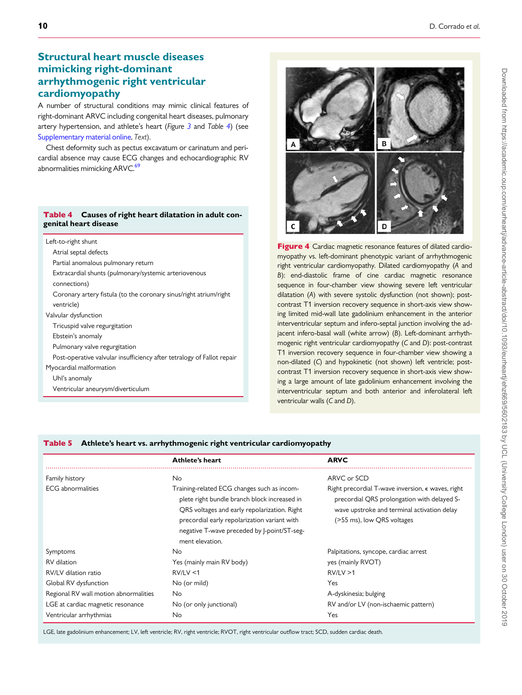# <span id="page-9-0"></span>Structural heart muscle diseases mimicking right-dominant arrhythmogenic right ventricular cardiomyopathy

A number of structural conditions may mimic clinical features of right-dominant ARVC including congenital heart diseases, pulmonary artery hypertension, and athlete's heart (Figure  $3$  and Table 4) (see [Supplementary material online,](https://academic.oup.com/eurheartj/article-lookup/doi/10.1093/eurheartj/ehz669#supplementary-data) Text).

Chest deformity such as pectus excavatum or carinatum and pericardial absence may cause ECG changes and echocardiographic RV abnormalities mimicking ARVC.<sup>69</sup>

#### Table 4 Causes of right heart dilatation in adult congenital heart disease

Left-to-right shunt Atrial septal defects Partial anomalous pulmonary return Extracardial shunts (pulmonary/systemic arteriovenous connections) Coronary artery fistula (to the coronary sinus/right atrium/right ventricle) Valvular dysfunction Tricuspid valve regurgitation Ebstein's anomaly Pulmonary valve regurgitation Post-operative valvular insufficiency after tetralogy of Fallot repair Myocardial malformation Uhl's anomaly Ventricular aneurysm/diverticulum



Figure 4 Cardiac magnetic resonance features of dilated cardiomyopathy vs. left-dominant phenotypic variant of arrhythmogenic right ventricular cardiomyopathy. Dilated cardiomyopathy (A and B): end-diastolic frame of cine cardiac magnetic resonance sequence in four-chamber view showing severe left ventricular dilatation (A) with severe systolic dysfunction (not shown); postcontrast T1 inversion recovery sequence in short-axis view showing limited mid-wall late gadolinium enhancement in the anterior interventricular septum and infero-septal junction involving the adjacent infero-basal wall (white arrow) (B). Left-dominant arrhythmogenic right ventricular cardiomyopathy (C and D): post-contrast T1 inversion recovery sequence in four-chamber view showing a non-dilated (C) and hypokinetic (not shown) left ventricle; postcontrast T1 inversion recovery sequence in short-axis view showing a large amount of late gadolinium enhancement involving the interventricular septum and both anterior and inferolateral left ventricular walls (C and D).

#### Table 5 Athlete's heart vs. arrhythmogenic right ventricular cardiomyopathy

|                                       | <b>Athlete's heart</b>                                                                                                                                                                                                                                        | <b>ARVC</b>                                                                                                                                                                            |
|---------------------------------------|---------------------------------------------------------------------------------------------------------------------------------------------------------------------------------------------------------------------------------------------------------------|----------------------------------------------------------------------------------------------------------------------------------------------------------------------------------------|
| Family history                        | No                                                                                                                                                                                                                                                            | ARVC or SCD                                                                                                                                                                            |
| <b>ECG</b> abnormalities              | Training-related ECG changes such as incom-<br>plete right bundle branch block increased in<br>QRS voltages and early repolarization. Right<br>precordial early repolarization variant with<br>negative T-wave preceded by  -point/ST-seg-<br>ment elevation. | Right precordial T-wave inversion, $\epsilon$ waves, right<br>precordial QRS prolongation with delayed S-<br>wave upstroke and terminal activation delay<br>(>55 ms), low QRS voltages |
| Symptoms                              | No                                                                                                                                                                                                                                                            | Palpitations, syncope, cardiac arrest                                                                                                                                                  |
| RV dilation                           | Yes (mainly main RV body)                                                                                                                                                                                                                                     | yes (mainly RVOT)                                                                                                                                                                      |
| RV/LV dilation ratio                  | RV/LV < 1                                                                                                                                                                                                                                                     | RV/LV > 1                                                                                                                                                                              |
| Global RV dysfunction                 | No (or mild)                                                                                                                                                                                                                                                  | Yes                                                                                                                                                                                    |
| Regional RV wall motion abnormalities | No.                                                                                                                                                                                                                                                           | A-dyskinesia; bulging                                                                                                                                                                  |
| LGE at cardiac magnetic resonance     | No (or only junctional)                                                                                                                                                                                                                                       | RV and/or LV (non-ischaemic pattern)                                                                                                                                                   |
| Ventricular arrhythmias               | No.                                                                                                                                                                                                                                                           | Yes                                                                                                                                                                                    |

LGE, late gadolinium enhancement; LV, left ventricle; RV, right ventricle; RVOT, right ventricular outflow tract; SCD, sudden cardiac death.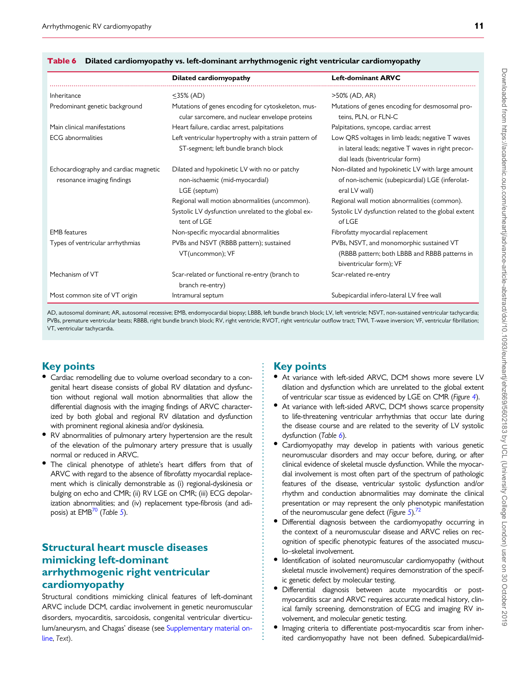|                                                                     | <b>Dilated cardiomyopathy</b>                                                                        | <b>Left-dominant ARVC</b>                                                                                                                  |
|---------------------------------------------------------------------|------------------------------------------------------------------------------------------------------|--------------------------------------------------------------------------------------------------------------------------------------------|
| Inheritance                                                         | $\leq$ 35% (AD)                                                                                      | >50% (AD, AR)                                                                                                                              |
| Predominant genetic background                                      | Mutations of genes encoding for cytoskeleton, mus-<br>cular sarcomere, and nuclear envelope proteins | Mutations of genes encoding for desmosomal pro-<br>teins, PLN, or FLN-C                                                                    |
| Main clinical manifestations                                        | Heart failure, cardiac arrest, palpitations                                                          | Palpitations, syncope, cardiac arrest                                                                                                      |
| <b>ECG</b> abnormalities                                            | Left ventricular hypertrophy with a strain pattern of<br>ST-segment; left bundle branch block        | Low QRS voltages in limb leads; negative T waves<br>in lateral leads; negative T waves in right precor-<br>dial leads (biventricular form) |
| Echocardiography and cardiac magnetic<br>resonance imaging findings | Dilated and hypokinetic LV with no or patchy<br>non-ischaemic (mid-myocardial)<br>LGE (septum)       | Non-dilated and hypokinetic LV with large amount<br>of non-ischemic (subepicardial) LGE (inferolat-<br>eral LV wall)                       |
|                                                                     | Regional wall motion abnormalities (uncommon).                                                       | Regional wall motion abnormalities (common).                                                                                               |
|                                                                     | Systolic LV dysfunction unrelated to the global ex-<br>tent of LGE                                   | Systolic LV dysfunction related to the global extent<br>of LGE                                                                             |
| <b>EMB</b> features                                                 | Non-specific myocardial abnormalities                                                                | Fibrofatty myocardial replacement                                                                                                          |
| Types of ventricular arrhythmias                                    | PVBs and NSVT (RBBB pattern); sustained<br>VT(uncommon); VF                                          | PVBs, NSVT, and monomorphic sustained VT<br>(RBBB pattern; both LBBB and RBBB patterns in<br>biventricular form); VF                       |
| Mechanism of VT                                                     | Scar-related or functional re-entry (branch to<br>branch re-entry)                                   | Scar-related re-entry                                                                                                                      |
| Most common site of VT origin                                       | Intramural septum                                                                                    | Subepicardial infero-lateral LV free wall                                                                                                  |

#### <span id="page-10-0"></span>Table 6 Dilated cardiomyopathy vs. left-dominant arrhythmogenic right ventricular cardiomyopathy

AD, autosomal dominant; AR, autosomal recessive; EMB, endomyocardial biopsy; LBBB, left bundle branch block; LV, left ventricle; NSVT, non-sustained ventricular tachycardia; PVBs, premature ventricular beats; RBBB, right bundle branch block; RV, right ventricle; RVOT, right ventricular outflow tract; TWI, T-wave inversion; VF, ventricular fibrillation; VT, ventricular tachycardia.

> . . . . . . . . . . . . . . . . . . . . . . . . . . . . . . . . . . . . . . . . . . . . . . . . . . . . . . . . . . . . . . . . . . . . . . . . . . . . . . . .

### Key points

- Cardiac remodelling due to volume overload secondary to a congenital heart disease consists of global RV dilatation and dysfunction without regional wall motion abnormalities that allow the differential diagnosis with the imaging findings of ARVC characterized by both global and regional RV dilatation and dysfunction with prominent regional akinesia and/or dyskinesia.
- RV abnormalities of pulmonary artery hypertension are the result of the elevation of the pulmonary artery pressure that is usually normal or reduced in ARVC.
- The clinical phenotype of athlete's heart differs from that of ARVC with regard to the absence of fibrofatty myocardial replacement which is clinically demonstrable as (i) regional-dyskinesia or bulging on echo and CMR; (ii) RV LGE on CMR; (iii) ECG depolarization abnormalities; and (iv) replacement type-fibrosis (and adiposis) at  $EMB^{70}$  (Table [5](#page-9-0)).

# Structural heart muscle diseases mimicking left-dominant arrhythmogenic right ventricular cardiomyopathy

Structural conditions mimicking clinical features of left-dominant ARVC include DCM, cardiac involvement in genetic neuromuscular disorders, myocarditis, sarcoidosis, congenital ventricular diverticulum/aneurysm, and Chagas' disease (see [Supplementary material on](https://academic.oup.com/eurheartj/article-lookup/doi/10.1093/eurheartj/ehz669#supplementary-data)[line](https://academic.oup.com/eurheartj/article-lookup/doi/10.1093/eurheartj/ehz669#supplementary-data), Text).

### Key points

- At variance with left-sided ARVC, DCM shows more severe LV dilation and dysfunction which are unrelated to the global extent of ventricular scar tissue as evidenced by LGE on CMR (Figure [4](#page-9-0)).
- At variance with left-sided ARVC, DCM shows scarce propensity to life-threatening ventricular arrhythmias that occur late during the disease course and are related to the severity of LV systolic dysfunction (Table 6).
- Cardiomyopathy may develop in patients with various genetic neuromuscular disorders and may occur before, during, or after clinical evidence of skeletal muscle dysfunction. While the myocardial involvement is most often part of the spectrum of pathologic features of the disease, ventricular systolic dysfunction and/or rhythm and conduction abnormalities may dominate the clinical presentation or may represent the only phenotypic manifestation of the neuromuscular gene defect (Figure  $5$ ).<sup>72</sup>
- Differential diagnosis between the cardiomyopathy occurring in the context of a neuromuscular disease and ARVC relies on recognition of specific phenotypic features of the associated musculo–skeletal involvement.
- Identification of isolated neuromuscular cardiomyopathy (without skeletal muscle involvement) requires demonstration of the specific genetic defect by molecular testing.
- Differential diagnosis between acute myocarditis or postmyocarditis scar and ARVC requires accurate medical history, clinical family screening, demonstration of ECG and imaging RV involvement, and molecular genetic testing.
- Imaging criteria to differentiate post-myocarditis scar from inherited cardiomyopathy have not been defined. Subepicardial/mid-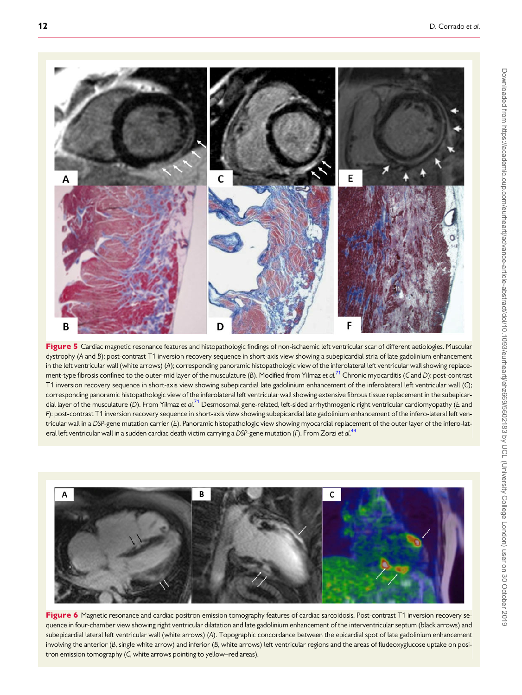<span id="page-11-0"></span>

Figure 5 Cardiac magnetic resonance features and histopathologic findings of non-ischaemic left ventricular scar of different aetiologies. Muscular dystrophy (A and B): post-contrast T1 inversion recovery sequence in short-axis view showing a subepicardial stria of late gadolinium enhancement in the left ventricular wall (white arrows) (A); corresponding panoramic histopathologic view of the inferolateral left ventricular wall showing replacement-type fibrosis confined to the outer-mid layer of the musculature (B). Modified from Yilmaz et  $al$ ,<sup>[71](#page-15-0)</sup> Chronic myocarditis (C and D): post-contrast T1 inversion recovery sequence in short-axis view showing subepicardial late gadolinium enhancement of the inferolateral left ventricular wall (C); corresponding panoramic histopathologic view of the inferolateral left ventricular wall showing extensive fibrous tissue replacement in the subepicardial layer of the musculature (D). From Yilmaz et  $al^{71}$  $al^{71}$  $al^{71}$  Desmosomal gene-related, left-sided arrhythmogenic right ventricular cardiomyopathy (E and F): post-contrast T1 inversion recovery sequence in short-axis view showing subepicardial late gadolinium enhancement of the infero-lateral left ventricular wall in a DSP-gene mutation carrier (E). Panoramic histopathologic view showing myocardial replacement of the outer layer of the infero-lat-eral left ventricular wall in a sudden cardiac death victim carrying a DSP-gene mutation (F). From Zorzi et al.<sup>[44](#page-14-0)</sup>



Figure 6 Magnetic resonance and cardiac positron emission tomography features of cardiac sarcoidosis. Post-contrast T1 inversion recovery sequence in four-chamber view showing right ventricular dilatation and late gadolinium enhancement of the interventricular septum (black arrows) and subepicardial lateral left ventricular wall (white arrows) (A). Topographic concordance between the epicardial spot of late gadolinium enhancement involving the anterior (B, single white arrow) and inferior (B, white arrows) left ventricular regions and the areas of fludeoxyglucose uptake on positron emission tomography (C, white arrows pointing to yellow–red areas).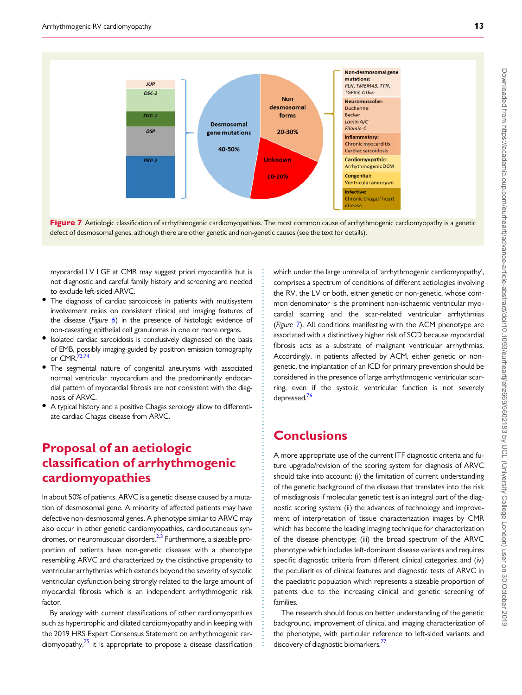<span id="page-12-0"></span>



. . . . . . . . . . . . . . . . . . . . . . . . . . . . . . . . . . . . . . . . . . . . . . . . . . . . . . . . . . . . . . . . . . . . . . . . . . . . . . . . . . . . . . . . . . . . . . . . . . . . . . . . . . . . .

. myocardial LV LGE at CMR may suggest priori myocarditis but is not diagnostic and careful family history and screening are needed to exclude left-sided ARVC.

- The diagnosis of cardiac sarcoidosis in patients with multisystem involvement relies on consistent clinical and imaging features of the disease (Figure  $6$ ) in the presence of histologic evidence of non-caseating epithelial cell granulomas in one or more organs.
- Isolated cardiac sarcoidosis is conclusively diagnosed on the basis of EMB, possibly imaging-guided by positron emission tomography or CMR.<sup>73,74</sup>
- The segmental nature of congenital aneurysms with associated normal ventricular myocardium and the predominantly endocardial pattern of myocardial fibrosis are not consistent with the diagnosis of ARVC.
- A typical history and a positive Chagas serology allow to differentiate cardiac Chagas disease from ARVC.

# Proposal of an aetiologic classification of arrhythmogenic cardiomyopathies

In about 50% of patients, ARVC is a genetic disease caused by a mutation of desmosomal gene. A minority of affected patients may have defective non-desmosomal genes. A phenotype similar to ARVC may also occur in other genetic cardiomyopathies, cardiocutaneous syndromes, or neuromuscular disorders.<sup>2,3</sup> Furthermore, a sizeable proportion of patients have non-genetic diseases with a phenotype resembling ARVC and characterized by the distinctive propensity to ventricular arrhythmias which extends beyond the severity of systolic ventricular dysfunction being strongly related to the large amount of myocardial fibrosis which is an independent arrhythmogenic risk factor.

By analogy with current classifications of other cardiomyopathies such as hypertrophic and dilated cardiomyopathy and in keeping with the 2019 HRS Expert Consensus Statement on arrhythmogenic cardiomyopathy, $75$  it is appropriate to propose a disease classification

which under the large umbrella of 'arrhythmogenic cardiomyopathy', comprises a spectrum of conditions of different aetiologies involving the RV, the LV or both, either genetic or non-genetic, whose common denominator is the prominent non-ischaemic ventricular myocardial scarring and the scar-related ventricular arrhythmias (Figure 7). All conditions manifesting with the ACM phenotype are associated with a distinctively higher risk of SCD because myocardial fibrosis acts as a substrate of malignant ventricular arrhythmias. Accordingly, in patients affected by ACM, either genetic or nongenetic, the implantation of an ICD for primary prevention should be considered in the presence of large arrhythmogenic ventricular scarring, even if the systolic ventricular function is not severely depressed.<sup>[76](#page-15-0)</sup>

# **Conclusions**

A more appropriate use of the current ITF diagnostic criteria and future upgrade/revision of the scoring system for diagnosis of ARVC should take into account: (i) the limitation of current understanding of the genetic background of the disease that translates into the risk of misdiagnosis if molecular genetic test is an integral part of the diagnostic scoring system; (ii) the advances of technology and improvement of interpretation of tissue characterization images by CMR which has become the leading imaging technique for characterization of the disease phenotype; (iii) the broad spectrum of the ARVC phenotype which includes left-dominant disease variants and requires specific diagnostic criteria from different clinical categories; and (iv) the peculiarities of clinical features and diagnostic tests of ARVC in the paediatric population which represents a sizeable proportion of patients due to the increasing clinical and genetic screening of families.

The research should focus on better understanding of the genetic background, improvement of clinical and imaging characterization of the phenotype, with particular reference to left-sided variants and discovery of diagnostic biomarkers.<sup>77</sup>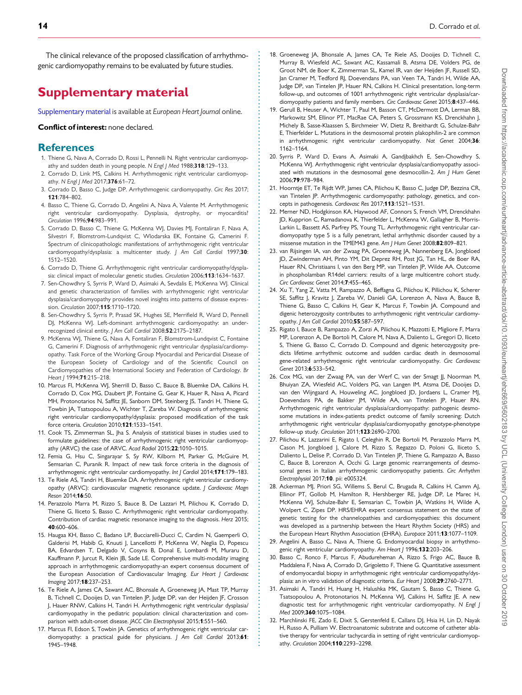<span id="page-13-0"></span>. The clinical relevance of the proposed classification of arrhythmogenic cardiomyopathy remains to be evaluated by future studies.

# Supplementary material

[Supplementary material](https://academic.oup.com/eurheartj/article-lookup/doi/10.1093/eurheartj/ehz669#supplementary-data) is available at European Heart Journal online.

#### Conflict of interest: none declared.

### **References**

- [1](#page-1-0). Thiene G, Nava A, Corrado D, Rossi L, Pennelli N. Right ventricular cardiomyopathy and sudden death in young people. N Engl J Med 1988;318:129-133.
- [2](#page-1-0). Corrado D, Link MS, Calkins H. Arrhythmogenic right ventricular cardiomyopathy. N Engl J Med 2017;376:61-72.
- [3](#page-1-0). Corrado D, Basso C, Judge DP. Arrhythmogenic cardiomyopathy. Circ Res 2017; 121:784–802.
- [4](#page-3-0). Basso C, Thiene G, Corrado D, Angelini A, Nava A, Valente M. Arrhythmogenic right ventricular cardiomyopathy. Dysplasia, dystrophy, or myocarditis? Circulation 1996;94:983–991.
- [5](#page-3-0). Corrado D, Basso C, Thiene G, McKenna WJ, Davies MJ, Fontaliran F, Nava A, Silvestri F, Blomstrom-Lundqvist C, Wlodarska EK, Fontaine G, Camerini F. Spectrum of clinicopathologic manifestations of arrhythmogenic right ventricular cardiomyopathy/dysplasia: a multicenter study. J Am Coll Cardiol 1997;30: 1512–1520.
- 6. Corrado D, Thiene G. Arrhythmogenic right ventricular cardiomyopathy/dysplasia: clinical impact of molecular genetic studies. Circulation 2006;113:1634–1637.
- [7](#page-1-0). Sen-Chowdhry S, Syrris P, Ward D, Asimaki A, Sevdalis E, McKenna WJ. Clinical and genetic characterization of families with arrhythmogenic right ventricular dysplasia/cardiomyopathy provides novel insights into patterns of disease expression. Circulation 2007;115:1710-1720.
- [8](#page-1-0). Sen-Chowdhry S, Syrris P, Prasad SK, Hughes SE, Merrifield R, Ward D, Pennell DJ, McKenna WJ. Left-dominant arrhythmogenic cardiomyopathy: an underrecognized clinical entity. J Am Coll Cardiol 2008;52:2175–2187.
- [9](#page-1-0). McKenna WJ, Thiene G, Nava A, Fontaliran F, Blomstrom-Lundqvist C, Fontaine G, Camerini F. Diagnosis of arrhythmogenic right ventricular dysplasia/cardiomyopathy. Task Force of the Working Group Myocardial and Pericardial Disease of the European Society of Cardiology and of the Scientific Council on Cardiomyopathies of the International Society and Federation of Cardiology. Br Heart 1 1994:71:215-218.
- [10](#page-1-0). Marcus FI, McKenna WJ, Sherrill D, Basso C, Bauce B, Bluemke DA, Calkins H, Corrado D, Cox MG, Daubert JP, Fontaine G, Gear K, Hauer R, Nava A, Picard MH, Protonotarios N, Saffitz JE, Sanborn DM, Steinberg JS, Tandri H, Thiene G, Towbin JA, Tsatsopoulou A, Wichter T, Zareba W. Diagnosis of arrhythmogenic right ventricular cardiomyopathy/dysplasia: proposed modification of the task force criteria. Circulation 2010;121:1533–1541.
- [11](#page-1-0). Cook TS, Zimmerman SL, Jha S. Analysis of statistical biases in studies used to formulate guidelines: the case of arrhythmogenic right ventricular cardiomyopathy (ARVC) the case of ARVC. Acad Radiol 2015;22:1010-1015.
- [12](#page-1-0). Femia G, Hsu C, Singarayar S, Sy RW, Kilborn M, Parker G, McGuire M, Semsarian C, Puranik R. Impact of new task force criteria in the diagnosis of arrhythmogenic right ventricular cardiomyopathy. Int J Cardiol 2014;171:179-183.
- 13. Te Riele AS, Tandri H, Bluemke DA. Arrhythmogenic right ventricular cardiomyopathy (ARVC): cardiovascular magnetic resonance update. J Cardiovasc Magn Reson 2014;16:50.
- [14](#page-1-0). Perazzolo Marra M, Rizzo S, Bauce B, De Lazzari M, Pilichou K, Corrado D, Thiene G, Iliceto S, Basso C. Arrhythmogenic right ventricular cardiomyopathy. Contribution of cardiac magnetic resonance imaging to the diagnosis. Herz 2015; 40:600–606.
- 15. Haugaa KH, Basso C, Badano LP, Bucciarelli-Ducci C, Cardim N, Gaemperli O, Galderisi M, Habib G, Knuuti J, Lancellotti P, McKenna W, Neglia D, Popescu BA, Edvardsen T, Delgado V, Cosyns B, Donal E, Lombardi M, Muraru D, Kauffmann P, Jurcut R, Klein JB, Sade LE. Comprehensive multi-modality imaging approach in arrhythmogenic cardiomyopathy-an expert consensus document of the European Association of Cardiovascular Imaging. Eur Heart J Cardiovasc Imaging 2017;18:237–253.
- [16](#page-1-0). Te Riele A, James CA, Sawant AC, Bhonsale A, Groeneweg JA, Mast TP, Murray B, Tichnell C, Dooijes D, van Tintelen JP, Judge DP, van der Heijden JF, Crosson J, Hauer RNW, Calkins H, Tandri H. Arrhythmogenic right ventricular dysplasia/ cardiomyopathy in the pediatric population: clinical characterization and comparison with adult-onset disease. JACC Clin Electrophysiol 2015;1:551–560.
- [17](#page-2-0). Marcus FI, Edson S, Towbin JA. Genetics of arrhythmogenic right ventricular cardiomyopathy: a practical guide for physicians. J Am Coll Cardiol 2013;61: 1945–1948.

. . . . . . . . . . . . . . . . . . . . . . . . . . . . . . . . . . . . . . . . . . . . . . . . . . . . . . . . . . . . . . . . . . . . . . . . . . . . . . . . . . . . . . . . . . . . . . . . . . . . . . . . . . . . . . . . . . . . . . . . . . . . . . . . . . . . . . . . . . . . . . . . . . . . . . . . . . . . . . . . . . . . . . . . . . . .

- [18.](#page-2-0) Groeneweg JA, Bhonsale A, James CA, Te Riele AS, Dooijes D, Tichnell C, Murray B, Wiesfeld AC, Sawant AC, Kassamali B, Atsma DE, Volders PG, de Groot NM, de Boer K, Zimmerman SL, Kamel IR, van der Heijden JF, Russell SD, Jan Cramer M, Tedford RJ, Doevendans PA, van Veen TA, Tandri H, Wilde AA, Judge DP, van Tintelen JP, Hauer RN, Calkins H. Clinical presentation, long-term follow-up, and outcomes of 1001 arrhythmogenic right ventricular dysplasia/cardiomyopathy patients and family members. Circ Cardiovasc Genet 2015;8:437-446.
- 19. Gerull B, Heuser A, Wichter T, Paul M, Basson CT, McDermott DA, Lerman BB, Markowitz SM, Ellinor PT, MacRae CA, Peters S, Grossmann KS, Drenckhahn J, Michely B, Sasse-Klaassen S, Birchmeier W, Dietz R, Breithardt G, Schulze-Bahr E, Thierfelder L. Mutations in the desmosomal protein plakophilin-2 are common in arrhythmogenic right ventricular cardiomyopathy. Nat Genet 2004;36: 1162–1164.
- 20. Syrris P, Ward D, Evans A, Asimaki A, Gandjbakhch E, Sen-Chowdhry S, McKenna WJ. Arrhythmogenic right ventricular dysplasia/cardiomyopathy associated with mutations in the desmosomal gene desmocollin-2. Am J Hum Genet 2006;79:978–984.
- 21. Hoorntje ET, Te Rijdt WP, James CA, Pilichou K, Basso C, Judge DP, Bezzina CR, van Tintelen JP. Arrhythmogenic cardiomyopathy: pathology, genetics, and concepts in pathogenesis. Cardiovasc Res 2017;113:1521–1531.
- [22.](#page-2-0) Merner ND, Hodgkinson KA, Haywood AF, Connors S, French VM, Drenckhahn JD, Kupprion C, Ramadanova K, Thierfelder L, McKenna W, Gallagher B, Morris-Larkin L, Bassett AS, Parfrey PS, Young TL. Arrhythmogenic right ventricular cardiomyopathy type 5 is a fully penetrant, lethal arrhythmic disorder caused by a missense mutation in the TMEM43 gene. Am | Hum Genet 2008;82:809-821.
- [23.](#page-2-0) van Rijsingen IA, van der Zwaag PA, Groeneweg JA, Nannenberg EA, Jongbloed JD, Zwinderman AH, Pinto YM, Dit Deprez RH, Post JG, Tan HL, de Boer RA, Hauer RN, Christiaans I, van den Berg MP, van Tintelen JP, Wilde AA. Outcome in phospholamban R14del carriers: results of a large multicentre cohort study. Circ Cardiovasc Genet 2014;7:455–465.
- 24. Xu T, Yang Z, Vatta M, Rampazzo A, Beffagna G, Pilichou K, Pillichou K, Scherer SE, Saffitz J, Kravitz J, Zareba W, Danieli GA, Lorenzon A, Nava A, Bauce B, Thiene G, Basso C, Calkins H, Gear K, Marcus F, Towbin JA. Compound and digenic heterozygosity contributes to arrhythmogenic right ventricular cardiomyopathy. J Am Coll Cardiol 2010;55:587-597.
- 25. Rigato I, Bauce B, Rampazzo A, Zorzi A, Pilichou K, Mazzotti E, Migliore F, Marra MP, Lorenzon A, De Bortoli M, Calore M, Nava A, Daliento L, Gregori D, Iliceto S, Thiene G, Basso C, Corrado D. Compound and digenic heterozygosity predicts lifetime arrhythmic outcome and sudden cardiac death in desmosomal gene-related arrhythmogenic right ventricular cardiomyopathy. Circ Cardiovasc Genet 2013;6:533–542.
- 26. Cox MG, van der Zwaag PA, van der Werf C, van der Smagt JJ, Noorman M, Bhuiyan ZA, Wiesfeld AC, Volders PG, van Langen IM, Atsma DE, Dooijes D, van den Wijngaard A, Houweling AC, Jongbloed JD, Jordaens L, Cramer MJ, Doevendans PA, de Bakker JM, Wilde AA, van Tintelen JP, Hauer RN. Arrhythmogenic right ventricular dysplasia/cardiomyopathy: pathogenic desmosome mutations in index-patients predict outcome of family screening: Dutch arrhythmogenic right ventricular dysplasia/cardiomyopathy genotype-phenotype follow-up study. Circulation 2011;123:2690–2700.
- [27.](#page-2-0) Pilichou K, Lazzarini E, Rigato I, Celeghin R, De Bortoli M, Perazzolo Marra M, Cason M, Jongbloed J, Calore M, Rizzo S, Regazzo D, Poloni G, Iliceto S, Daliento L, Delise P, Corrado D, Van Tintelen JP, Thiene G, Rampazzo A, Basso C, Bauce B, Lorenzon A, Occhi G. Large genomic rearrangements of desmosomal genes in Italian arrhythmogenic cardiomyopathy patients. Circ Arrhythm Electrophysiol 2017;10. pii: e005324.
- [28.](#page-2-0) Ackerman MJ, Priori SG, Willems S, Berul C, Brugada R, Calkins H, Camm AJ, Ellinor PT, Gollob M, Hamilton R, Hershberger RE, Judge DP, Le Marec H, McKenna WJ, Schulze-Bahr E, Semsarian C, Towbin JA, Watkins H, Wilde A, Wolpert C, Zipes DP. HRS/EHRA expert consensus statement on the state of genetic testing for the channelopathies and cardiomyopathies: this document was developed as a partnership between the Heart Rhythm Society (HRS) and the European Heart Rhythm Association (EHRA). Europace 2011;13:1077–1109.
- [29.](#page-2-0) Angelini A, Basso C, Nava A, Thiene G. Endomyocardial biopsy in arrhythmogenic right ventricular cardiomyopathy. Am Heart | 1996;132:203-206.
- [30.](#page-2-0) Basso C, Ronco F, Marcus F, Abudureheman A, Rizzo S, Frigo AC, Bauce B, Maddalena F, Nava A, Corrado D, Grigoletto F, Thiene G. Quantitative assessment of endomyocardial biopsy in arrhythmogenic right ventricular cardiomyopathy/dysplasia: an in vitro validation of diagnostic criteria. Eur Heart J 2008;29:2760–2771.
- [31.](#page-2-0) Asimaki A, Tandri H, Huang H, Halushka MK, Gautam S, Basso C, Thiene G, Tsatsopoulou A, Protonotarios N, McKenna WJ, Calkins H, Saffitz JE. A new diagnostic test for arrhythmogenic right ventricular cardiomyopathy. N Engl J Med 2009:360:1075-1084.
- 32. Marchlinski FE, Zado E, Dixit S, Gerstenfeld E, Callans DJ, Hsia H, Lin D, Nayak H, Russo A, Pulliam W. Electroanatomic substrate and outcome of catheter ablative therapy for ventricular tachycardia in setting of right ventricular cardiomyopathy. Circulation 2004;110:2293–2298.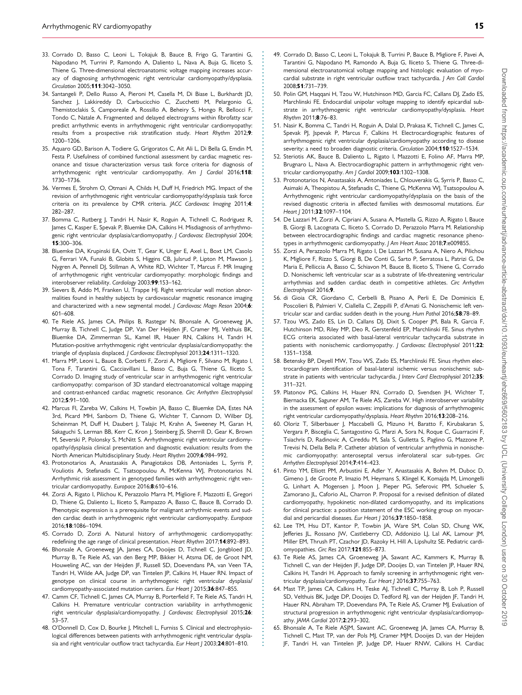- <span id="page-14-0"></span>. 33. Corrado D, Basso C, Leoni L, Tokajuk B, Bauce B, Frigo G, Tarantini G, Napodano M, Turrini P, Ramondo A, Daliento L, Nava A, Buja G, Iliceto S, Thiene G. Three-dimensional electroanatomic voltage mapping increases accuracy of diagnosing arrhythmogenic right ventricular cardiomyopathy/dysplasia. Circulation 2005;111:3042–3050.
- 34. Santangeli P, Dello Russo A, Pieroni M, Casella M, Di Biase L, Burkhardt JD, Sanchez J, Lakkireddy D, Carbucicchio C, Zucchetti M, Pelargonio G, Themistoclakis S, Camporeale A, Rossillo A, Beheiry S, Hongo R, Bellocci F, Tondo C, Natale A. Fragmented and delayed electrograms within fibrofatty scar predict arrhythmic events in arrhythmogenic right ventricular cardiomyopathy: results from a prospective risk stratification study. Heart Rhythm 2012;9: 1200–1206.
- [35.](#page-3-0) Aquaro GD, Barison A, Todiere G, Grigoratos C, Ait Ali L, Di Bella G, Emdin M, Festa P. Usefulness of combined functional assessment by cardiac magnetic resonance and tissue characterization versus task force criteria for diagnosis of arrhythmogenic right ventricular cardiomyopathy. Am J Cardiol 2016;118: 1730–1736.
- [36.](#page-3-0) Vermes E, Strohm O, Otmani A, Childs H, Duff H, Friedrich MG. Impact of the revision of arrhythmogenic right ventricular cardiomyopathy/dysplasia task force criteria on its prevalence by CMR criteria. JACC Cardiovasc Imaging 2011;4: 282–287.
- 37. Bomma C, Rutberg J, Tandri H, Nasir K, Roguin A, Tichnell C, Rodriguez R, James C, Kasper E, Spevak P, Bluemke DA, Calkins H. Misdiagnosis of arrhythmogenic right ventricular dysplasia/cardiomyopathy. J Cardiovasc Electrophysiol 2004; 15:300–306.
- 38. Bluemke DA, Krupinski EA, Ovitt T, Gear K, Unger E, Axel L, Boxt LM, Casolo G, Ferrari VA, Funaki B, Globits S, Higgins CB, Julsrud P, Lipton M, Mawson J, Nygren A, Pennell DJ, Stillman A, White RD, Wichter T, Marcus F. MR Imaging of arrhythmogenic right ventricular cardiomyopathy: morphologic findings and interobserver reliability. Cardiology 2003;99:153–162.
- 39. Sievers B, Addo M, Franken U, Trappe HJ. Right ventricular wall motion abnormalities found in healthy subjects by cardiovascular magnetic resonance imaging and characterized with a new segmental model. J Cardiovasc Magn Reson 2004;6: 601–608.
- [40.](#page-3-0) Te Riele AS, James CA, Philips B, Rastegar N, Bhonsale A, Groeneweg JA, Murray B, Tichnell C, Judge DP, Van Der Heijden JF, Cramer MJ, Velthuis BK, Bluemke DA, Zimmerman SL, Kamel IR, Hauer RN, Calkins H, Tandri H. Mutation-positive arrhythmogenic right ventricular dysplasia/cardiomyopathy: the triangle of dysplasia displaced. J Cardiovasc Electrophysiol 2013;24:1311-1320.
- [41.](#page-3-0) Marra MP, Leoni L, Bauce B, Corbetti F, Zorzi A, Migliore F, Silvano M, Rigato I, Tona F, Tarantini G, Cacciavillani L, Basso C, Buja G, Thiene G, Iliceto S, Corrado D. Imaging study of ventricular scar in arrhythmogenic right ventricular cardiomyopathy: comparison of 3D standard electroanatomical voltage mapping and contrast-enhanced cardiac magnetic resonance. Circ Arrhythm Electrophysiol 2012;5:91–100.
- 42. Marcus FI, Zareba W, Calkins H, Towbin JA, Basso C, Bluemke DA, Estes NA 3rd, Picard MH, Sanborn D, Thiene G, Wichter T, Cannom D, Wilber DJ, Scheinman M, Duff H, Daubert J, Talajic M, Krahn A, Sweeney M, Garan H, Sakaguchi S, Lerman BB, Kerr C, Kron J, Steinberg JS, Sherrill D, Gear K, Brown M, Severski P, Polonsky S, McNitt S. Arrhythmogenic right ventricular cardiomyopathy/dysplasia clinical presentation and diagnostic evaluation: results from the North American Multidisciplinary Study. Heart Rhythm 2009;6:984–992.
- 43. Protonotarios A, Anastasakis A, Panagiotakos DB, Antoniades L, Syrris P, Vouliotis A, Stefanadis C, Tsatsopoulou A, McKenna WJ, Protonotarios N. Arrhythmic risk assessment in genotyped families with arrhythmogenic right ventricular cardiomyopathy. Eurobace 2016:8:610-616.
- [44.](#page-11-0) Zorzi A, Rigato I, Pilichou K, Perazzolo Marra M, Migliore F, Mazzotti E, Gregori D, Thiene G, Daliento L, Iliceto S, Rampazzo A, Basso C, Bauce B, Corrado D. Phenotypic expression is a prerequisite for malignant arrhythmic events and sudden cardiac death in arrhythmogenic right ventricular cardiomyopathy. Europace 2016;18:1086–1094.
- [45.](#page-3-0) Corrado D, Zorzi A. Natural history of arrhythmogenic cardiomyopathy: redefining the age range of clinical presentation. Heart Rhythm 2017;14:892–893.
- [46.](#page-3-0) Bhonsale A, Groeneweg JA, James CA, Dooijes D, Tichnell C, Jongbloed JD, Murray B, Te Riele AS, van den Berg MP, Bikker H, Atsma DE, de Groot NM, Houweling AC, van der Heijden JF, Russell SD, Doevendans PA, van Veen TA, Tandri H, Wilde AA, Judge DP, van Tintelen JP, Calkins H, Hauer RN. Impact of genotype on clinical course in arrhythmogenic right ventricular dysplasia/ cardiomyopathy-associated mutation carriers. Eur Heart | 2015;36:847-855.
- [47.](#page-4-0) Camm CF, Tichnell C, James CA, Murray B, Porterfield F, Te Riele AS, Tandri H, Calkins H. Premature ventricular contraction variability in arrhythmogenic right ventricular dysplasia/cardiomyopathy. J Cardiovasc Electrophysiol 2015;26: 53–57.
- [48.](#page-4-0) O'Donnell D, Cox D, Bourke J, Mitchell L, Furniss S. Clinical and electrophysiological differences between patients with arrhythmogenic right ventricular dysplasia and right ventricular outflow tract tachycardia. Eur Heart J 2003;24:801-810.
- [49](#page-4-0). Corrado D, Basso C, Leoni L, Tokajuk B, Turrini P, Bauce B, Migliore F, Pavei A, Tarantini G, Napodano M, Ramondo A, Buja G, Iliceto S, Thiene G. Three-dimensional electroanatomical voltage mapping and histologic evaluation of myocardial substrate in right ventricular outflow tract tachycardia. J Am Coll Cardiol 2008;51:731–739.
- [50](#page-4-0). Polin GM, Haqqani H, Tzou W, Hutchinson MD, Garcia FC, Callans DJ, Zado ES, Marchlinski FE. Endocardial unipolar voltage mapping to identify epicardial substrate in arrhythmogenic right ventricular cardiomyopathy/dysplasia. Heart Rhythm 2011;8:76–83.
- 51. Nasir K, Bomma C, Tandri H, Roguin A, Dalal D, Prakasa K, Tichnell C, James C, Spevak PJ, Jspevak P, Marcus F, Calkins H. Electrocardiographic features of arrhythmogenic right ventricular dysplasia/cardiomyopathy according to disease severity: a need to broaden diagnostic criteria. Circulation 2004;110:1527–1534.
- 52. Steriotis AK, Bauce B, Daliento L, Rigato I, Mazzotti E, Folino AF, Marra MP, Brugnaro L, Nava A. Electrocardiographic pattern in arrhythmogenic right ventricular cardiomyopathy. Am J Cardiol 2009;103:1302–1308.
- 53. Protonotarios N, Anastasakis A, Antoniades L, Chlouverakis G, Syrris P, Basso C, Asimaki A, Theopistou A, Stefanadis C, Thiene G, McKenna WJ, Tsatsopoulou A. Arrhythmogenic right ventricular cardiomyopathy/dysplasia on the basis of the revised diagnostic criteria in affected families with desmosomal mutations. Eur Heart I 2011:32:1097-1104.
- [54](#page-4-0). De Lazzari M, Zorzi A, Cipriani A, Susana A, Mastella G, Rizzo A, Rigato I, Bauce B, Giorgi B, Lacognata C, Iliceto S, Corrado D, Perazzolo Marra M. Relationship between electrocardiographic findings and cardiac magnetic resonance phenotypes in arrhythmogenic cardiomyopathy. J Am Heart Assoc 2018;7:e009855.
- [55](#page-6-0). Zorzi A, Perazzolo Marra M, Rigato I, De Lazzari M, Susana A, Niero A, Pilichou K, Migliore F, Rizzo S, Giorgi B, De Conti G, Sarto P, Serratosa L, Patrizi G, De Maria E, Pelliccia A, Basso C, Schiavon M, Bauce B, Iliceto S, Thiene G, Corrado D. Nonischemic left ventricular scar as a substrate of life-threatening ventricular arrhythmias and sudden cardiac death in competitive athletes. Circ Arrhythm Electrophysiol 2016;9.
- [56](#page-6-0). di Gioia CR, Giordano C, Cerbelli B, Pisano A, Perli E, De Dominicis E, Poscolieri B, Palmieri V, Ciallella C, Zeppilli P, d'Amati G. Nonischemic left ventricular scar and cardiac sudden death in the young. Hum Pathol 2016;58:78–89.
- 57. Tzou WS, Zado ES, Lin D, Callans DJ, Dixit S, Cooper JM, Bala R, Garcia F, Hutchinson MD, Riley MP, Deo R, Gerstenfeld EP, Marchlinski FE. Sinus rhythm ECG criteria associated with basal-lateral ventricular tachycardia substrate in patients with nonischemic cardiomyopathy. J Cardiovasc Electrophysiol 2011;22: 1351–1358.
- 58. Betensky BP, Deyell MW, Tzou WS, Zado ES, Marchlinski FE. Sinus rhythm electrocardiogram identification of basal-lateral ischemic versus nonischemic substrate in patients with ventricular tachycardia. *J Interv Card Electrophysiol* 2012;35: 311–321.
- [59](#page-5-0). Platonov PG, Calkins H, Hauer RN, Corrado D, Svendsen JH, Wichter T, Biernacka EK, Saguner AM, Te Riele AS, Zareba W. High interobserver variability in the assessment of epsilon waves: implications for diagnosis of arrhythmogenic right ventricular cardiomyopathy/dysplasia. Heart Rhythm 2016;13:208–216.
- [60](#page-6-0). Oloriz T, Silberbauer J, Maccabelli G, Mizuno H, Baratto F, Kirubakaran S, Vergara P, Bisceglia C, Santagostino G, Marzi A, Sora N, Roque C, Guarracini F, Tsiachris D, Radinovic A, Cireddu M, Sala S, Gulletta S, Paglino G, Mazzone P, Trevisi N, Della Bella P. Catheter ablation of ventricular arrhythmia in nonischemic cardiomyopathy: anteroseptal versus inferolateral scar sub-types. Circ Arrhythm Electrophysiol 2014;7:414–423.
- [61](#page-6-0). Pinto YM, Elliott PM, Arbustini E, Adler Y, Anastasakis A, Bohm M, Duboc D, Gimeno J, de Groote P, Imazio M, Heymans S, Klingel K, Komajda M, Limongelli G, Linhart A, Mogensen J, Moon J, Pieper PG, Seferovic PM, Schueler S, Zamorano JL, Caforio AL, Charron P. Proposal for a revised definition of dilated cardiomyopathy, hypokinetic non-dilated cardiomyopathy, and its implications for clinical practice: a position statement of the ESC working group on myocardial and pericardial diseases. Eur Heart J 2016;37:1850-1858.
- [62](#page-6-0). Lee TM, Hsu DT, Kantor P, Towbin JA, Ware SM, Colan SD, Chung WK, Jefferies JL, Rossano JW, Castleberry CD, Addonizio LJ, Lal AK, Lamour JM, Miller EM, Thrush PT, Czachor JD, Razoky H, Hill A, Lipshultz SE. Pediatric cardiomyopathies. Circ Res 2017;121:855–873.
- [63](#page-6-0). Te Riele AS, James CA, Groeneweg JA, Sawant AC, Kammers K, Murray B, Tichnell C, van der Heijden JF, Judge DP, Dooijes D, van Tintelen JP, Hauer RN, Calkins H, Tandri H. Approach to family screening in arrhythmogenic right ventricular dysplasia/cardiomyopathy. Eur Heart J 2016;37:755-763.
- [64](#page-6-0). Mast TP, James CA, Calkins H, Teske AJ, Tichnell C, Murray B, Loh P, Russell SD, Velthuis BK, Judge DP, Dooijes D, Tedford RJ, van der Heijden JF, Tandri H, Hauer RN, Abraham TP, Doevendans PA, Te Riele AS, Cramer MJ. Evaluation of structural progression in arrhythmogenic right ventricular dysplasia/cardiomyopathy. JAMA Cardiol 2017;2:293–302.
- [65](#page-6-0). Bhonsale A, Te Riele ASJM, Sawant AC, Groeneweg JA, James CA, Murray B, Tichnell C, Mast TP, van der Pols MJ, Cramer MJM, Dooijes D, van der Heijden JF, Tandri H, van Tintelen JP, Judge DP, Hauer RNW, Calkins H. Cardiac

. . . . . . . . . . . . . . . . . . . . . . . . . . . . . . . . . . . . . . . . . . . . . . . . . . . . . . . . . . . . . . . . . . . . . . . . . . . . . . . . . . . . . . . . . . . . . . . . . . . . . . . . . . . . . . . . . . . . . . . . . . . . . . . . . . . . . . . . . . . . . . . . . . . . . . . . . . . . . . . . . . . . . . . . . . . .